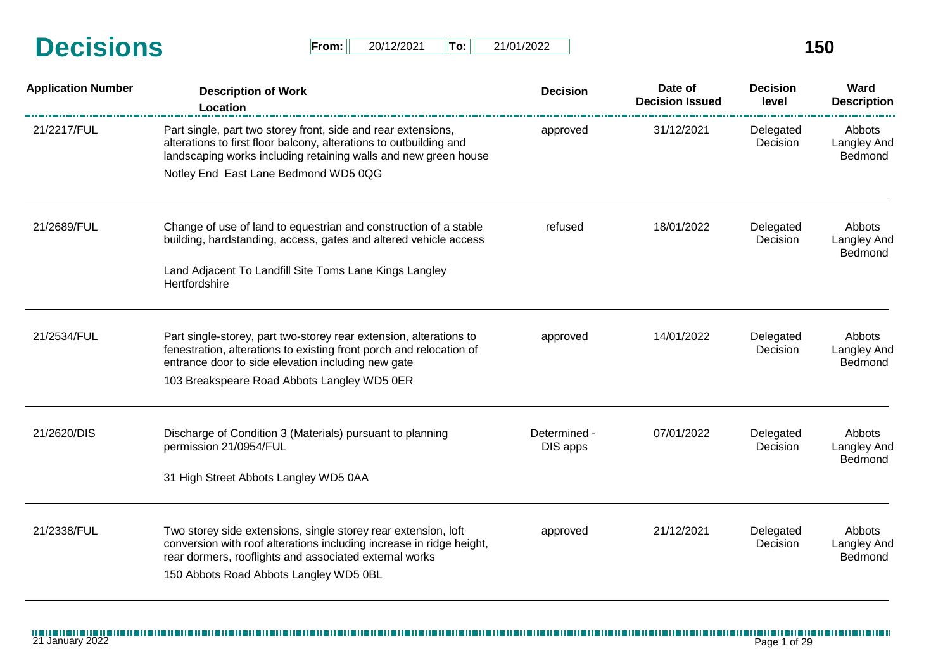| <b>Decisions</b> | From: | 20/12/2021 | 'To: ⊦ | 21/01/2022 |  |
|------------------|-------|------------|--------|------------|--|
|                  |       |            |        |            |  |

| From: 0 | 20/12/2021 | <u>  To:   </u> | 21/01/2022 |
|---------|------------|-----------------|------------|
|---------|------------|-----------------|------------|

| <b>Application Number</b> | <b>Description of Work</b><br>Location                                                                                                                                                                 | <b>Decision</b>       | Date of<br><b>Decision Issued</b>       | <b>Decision</b><br>level | Ward<br><b>Description</b>       |
|---------------------------|--------------------------------------------------------------------------------------------------------------------------------------------------------------------------------------------------------|-----------------------|-----------------------------------------|--------------------------|----------------------------------|
| 21/2217/FUL               | Part single, part two storey front, side and rear extensions,<br>alterations to first floor balcony, alterations to outbuilding and<br>landscaping works including retaining walls and new green house | approved              | 31/12/2021                              | Delegated<br>Decision    | Abbots<br>Langley And<br>Bedmond |
|                           | Notley End East Lane Bedmond WD5 0QG                                                                                                                                                                   |                       |                                         |                          |                                  |
| 21/2689/FUL               | Change of use of land to equestrian and construction of a stable<br>18/01/2022<br>refused<br>building, hardstanding, access, gates and altered vehicle access                                          | Delegated<br>Decision | Abbots<br><b>Langley And</b><br>Bedmond |                          |                                  |
|                           | Land Adjacent To Landfill Site Toms Lane Kings Langley<br>Hertfordshire                                                                                                                                |                       |                                         |                          |                                  |
| 21/2534/FUL               | Part single-storey, part two-storey rear extension, alterations to                                                                                                                                     | approved              | 14/01/2022                              | Delegated                | Abbots                           |
|                           | fenestration, alterations to existing front porch and relocation of<br>entrance door to side elevation including new gate                                                                              |                       |                                         | Decision                 | Langley And<br>Bedmond           |
|                           | 103 Breakspeare Road Abbots Langley WD5 0ER                                                                                                                                                            |                       |                                         |                          |                                  |
| 21/2620/DIS               | Discharge of Condition 3 (Materials) pursuant to planning                                                                                                                                              | Determined -          | 07/01/2022                              | Delegated                | Abbots                           |
|                           | permission 21/0954/FUL                                                                                                                                                                                 | DIS apps              |                                         | Decision                 | <b>Langley And</b><br>Bedmond    |
|                           | 31 High Street Abbots Langley WD5 0AA                                                                                                                                                                  |                       |                                         |                          |                                  |
| 21/2338/FUL               | Two storey side extensions, single storey rear extension, loft                                                                                                                                         | approved              | 21/12/2021                              | Delegated                | Abbots                           |
|                           | conversion with roof alterations including increase in ridge height,<br>rear dormers, rooflights and associated external works                                                                         |                       |                                         | Decision                 | <b>Langley And</b><br>Bedmond    |
|                           | 150 Abbots Road Abbots Langley WD5 0BL                                                                                                                                                                 |                       |                                         |                          |                                  |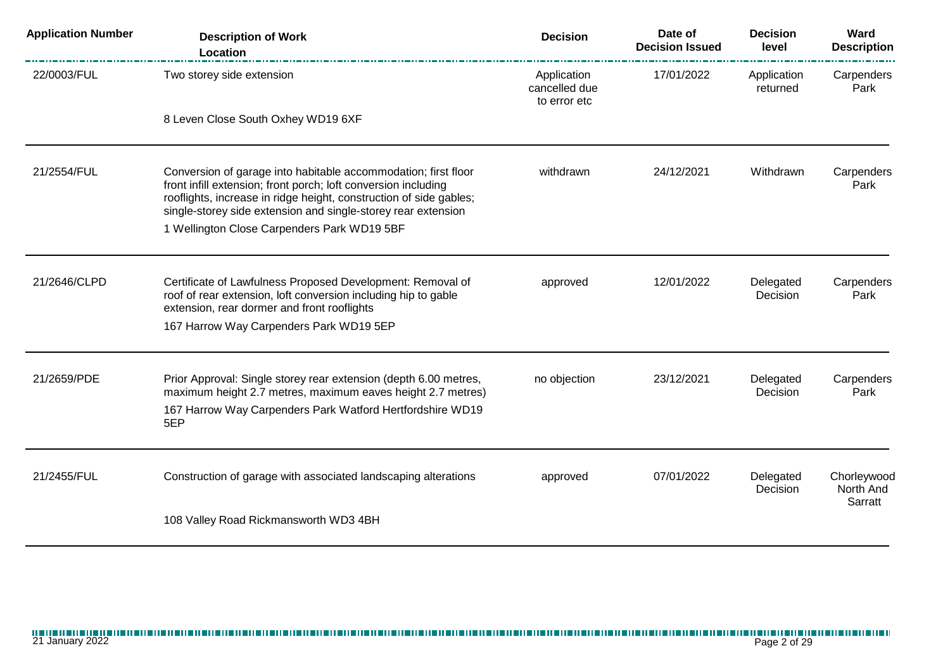| <b>Application Number</b> | <b>Description of Work</b><br>Location                                                                                                                                                                                                                                  | <b>Decision</b>                              | Date of<br><b>Decision Issued</b> | <b>Decision</b><br>level | Ward<br><b>Description</b> |
|---------------------------|-------------------------------------------------------------------------------------------------------------------------------------------------------------------------------------------------------------------------------------------------------------------------|----------------------------------------------|-----------------------------------|--------------------------|----------------------------|
| 22/0003/FUL               | Two storey side extension                                                                                                                                                                                                                                               | Application<br>cancelled due<br>to error etc | 17/01/2022                        | Application<br>returned  | Carpenders<br>Park         |
|                           | 8 Leven Close South Oxhey WD19 6XF                                                                                                                                                                                                                                      |                                              |                                   |                          |                            |
| 21/2554/FUL               | Conversion of garage into habitable accommodation; first floor<br>front infill extension; front porch; loft conversion including<br>rooflights, increase in ridge height, construction of side gables;<br>single-storey side extension and single-storey rear extension | withdrawn                                    | 24/12/2021                        | Withdrawn                | Carpenders<br>Park         |
|                           | 1 Wellington Close Carpenders Park WD19 5BF                                                                                                                                                                                                                             |                                              |                                   |                          |                            |
| 21/2646/CLPD              | Certificate of Lawfulness Proposed Development: Removal of<br>roof of rear extension, loft conversion including hip to gable<br>extension, rear dormer and front rooflights                                                                                             | approved                                     | 12/01/2022                        | Delegated<br>Decision    | Carpenders<br>Park         |
|                           | 167 Harrow Way Carpenders Park WD19 5EP                                                                                                                                                                                                                                 |                                              |                                   |                          |                            |
| 21/2659/PDE               | Prior Approval: Single storey rear extension (depth 6.00 metres,<br>maximum height 2.7 metres, maximum eaves height 2.7 metres)                                                                                                                                         | no objection                                 | 23/12/2021                        | Delegated<br>Decision    | Carpenders<br>Park         |
|                           | 167 Harrow Way Carpenders Park Watford Hertfordshire WD19<br>5EP                                                                                                                                                                                                        |                                              |                                   |                          |                            |
| 21/2455/FUL               | Construction of garage with associated landscaping alterations                                                                                                                                                                                                          | approved                                     | 07/01/2022                        | Delegated                | Chorleywood                |
|                           |                                                                                                                                                                                                                                                                         |                                              |                                   | Decision                 | North And<br>Sarratt       |
|                           | 108 Valley Road Rickmansworth WD3 4BH                                                                                                                                                                                                                                   |                                              |                                   |                          |                            |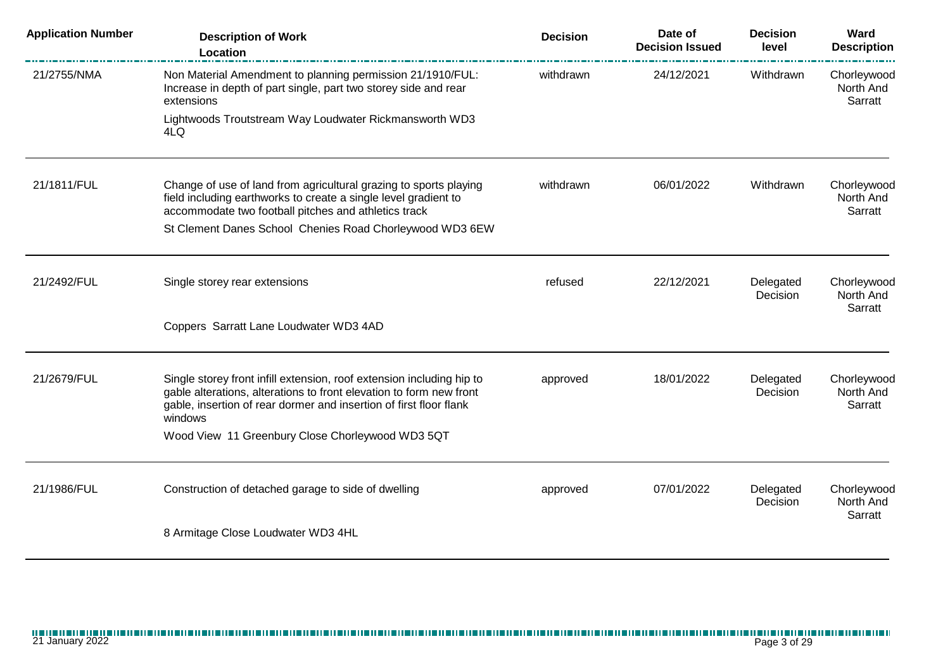| <b>Application Number</b> | <b>Description of Work</b><br>Location                                                                                                                                                                                        | <b>Decision</b> | Date of<br><b>Decision Issued</b> | <b>Decision</b><br>level | Ward<br><b>Description</b>          |
|---------------------------|-------------------------------------------------------------------------------------------------------------------------------------------------------------------------------------------------------------------------------|-----------------|-----------------------------------|--------------------------|-------------------------------------|
| 21/2755/NMA               | Non Material Amendment to planning permission 21/1910/FUL:<br>Increase in depth of part single, part two storey side and rear<br>extensions                                                                                   | withdrawn       | 24/12/2021                        | Withdrawn                | Chorleywood<br>North And<br>Sarratt |
|                           | Lightwoods Troutstream Way Loudwater Rickmansworth WD3<br>4LQ                                                                                                                                                                 |                 |                                   |                          |                                     |
| 21/1811/FUL               | Change of use of land from agricultural grazing to sports playing<br>field including earthworks to create a single level gradient to<br>accommodate two football pitches and athletics track                                  | withdrawn       | 06/01/2022                        | Withdrawn                | Chorleywood<br>North And<br>Sarratt |
|                           | St Clement Danes School Chenies Road Chorleywood WD3 6EW                                                                                                                                                                      |                 |                                   |                          |                                     |
| 21/2492/FUL               | Single storey rear extensions                                                                                                                                                                                                 | refused         | 22/12/2021                        | Delegated<br>Decision    | Chorleywood<br>North And<br>Sarratt |
|                           | Coppers Sarratt Lane Loudwater WD3 4AD                                                                                                                                                                                        |                 |                                   |                          |                                     |
| 21/2679/FUL               | Single storey front infill extension, roof extension including hip to<br>gable alterations, alterations to front elevation to form new front<br>gable, insertion of rear dormer and insertion of first floor flank<br>windows | approved        | 18/01/2022                        | Delegated<br>Decision    | Chorleywood<br>North And<br>Sarratt |
|                           | Wood View 11 Greenbury Close Chorleywood WD3 5QT                                                                                                                                                                              |                 |                                   |                          |                                     |
| 21/1986/FUL               | Construction of detached garage to side of dwelling                                                                                                                                                                           | approved        | 07/01/2022                        | Delegated<br>Decision    | Chorleywood<br>North And<br>Sarratt |
|                           | 8 Armitage Close Loudwater WD3 4HL                                                                                                                                                                                            |                 |                                   |                          |                                     |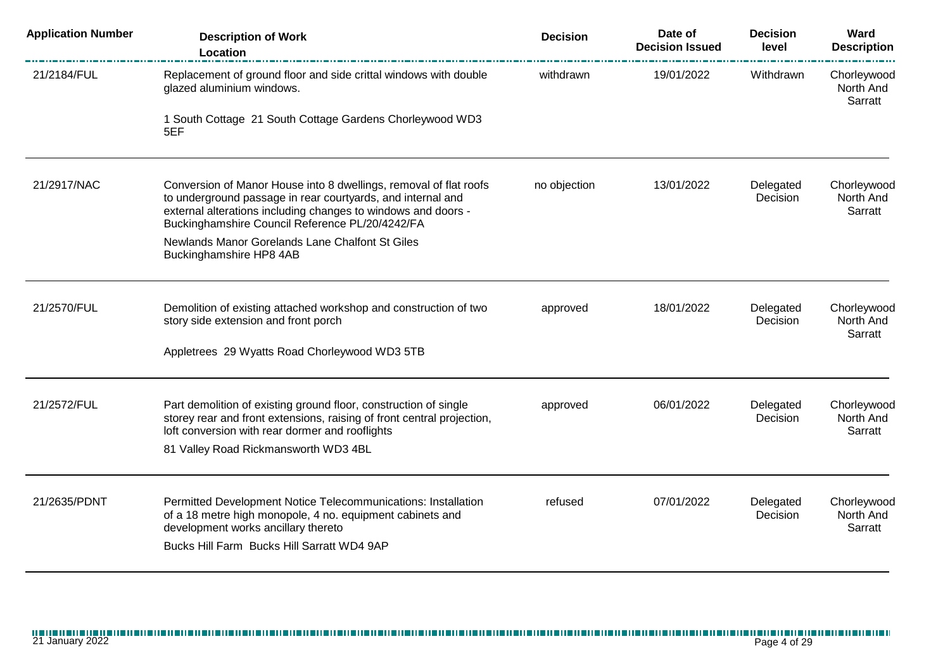| <b>Application Number</b> | <b>Description of Work</b><br>Location                                                                                                                                                                                                               | <b>Decision</b>                                     | Date of<br><b>Decision Issued</b>   | <b>Decision</b><br>level | Ward<br><b>Description</b>          |
|---------------------------|------------------------------------------------------------------------------------------------------------------------------------------------------------------------------------------------------------------------------------------------------|-----------------------------------------------------|-------------------------------------|--------------------------|-------------------------------------|
| 21/2184/FUL               | Replacement of ground floor and side crittal windows with double<br>glazed aluminium windows.                                                                                                                                                        | withdrawn                                           | 19/01/2022                          | Withdrawn                | Chorleywood<br>North And<br>Sarratt |
|                           | 1 South Cottage 21 South Cottage Gardens Chorleywood WD3<br>5EF                                                                                                                                                                                      |                                                     |                                     |                          |                                     |
| 21/2917/NAC               | Conversion of Manor House into 8 dwellings, removal of flat roofs<br>to underground passage in rear courtyards, and internal and<br>external alterations including changes to windows and doors -<br>Buckinghamshire Council Reference PL/20/4242/FA | no objection<br>13/01/2022<br>Delegated<br>Decision | Chorleywood<br>North And<br>Sarratt |                          |                                     |
|                           | Newlands Manor Gorelands Lane Chalfont St Giles<br>Buckinghamshire HP8 4AB                                                                                                                                                                           |                                                     |                                     |                          |                                     |
| 21/2570/FUL               | Demolition of existing attached workshop and construction of two<br>story side extension and front porch                                                                                                                                             | approved                                            | 18/01/2022                          | Delegated<br>Decision    | Chorleywood<br>North And<br>Sarratt |
|                           | Appletrees 29 Wyatts Road Chorleywood WD3 5TB                                                                                                                                                                                                        |                                                     |                                     |                          |                                     |
| 21/2572/FUL               | Part demolition of existing ground floor, construction of single<br>storey rear and front extensions, raising of front central projection,<br>loft conversion with rear dormer and rooflights                                                        | approved                                            | 06/01/2022                          | Delegated<br>Decision    | Chorleywood<br>North And<br>Sarratt |
|                           | 81 Valley Road Rickmansworth WD3 4BL                                                                                                                                                                                                                 |                                                     |                                     |                          |                                     |
| 21/2635/PDNT              | Permitted Development Notice Telecommunications: Installation<br>of a 18 metre high monopole, 4 no. equipment cabinets and<br>development works ancillary thereto                                                                                    | refused                                             | 07/01/2022                          | Delegated<br>Decision    | Chorleywood<br>North And<br>Sarratt |
|                           | Bucks Hill Farm Bucks Hill Sarratt WD4 9AP                                                                                                                                                                                                           |                                                     |                                     |                          |                                     |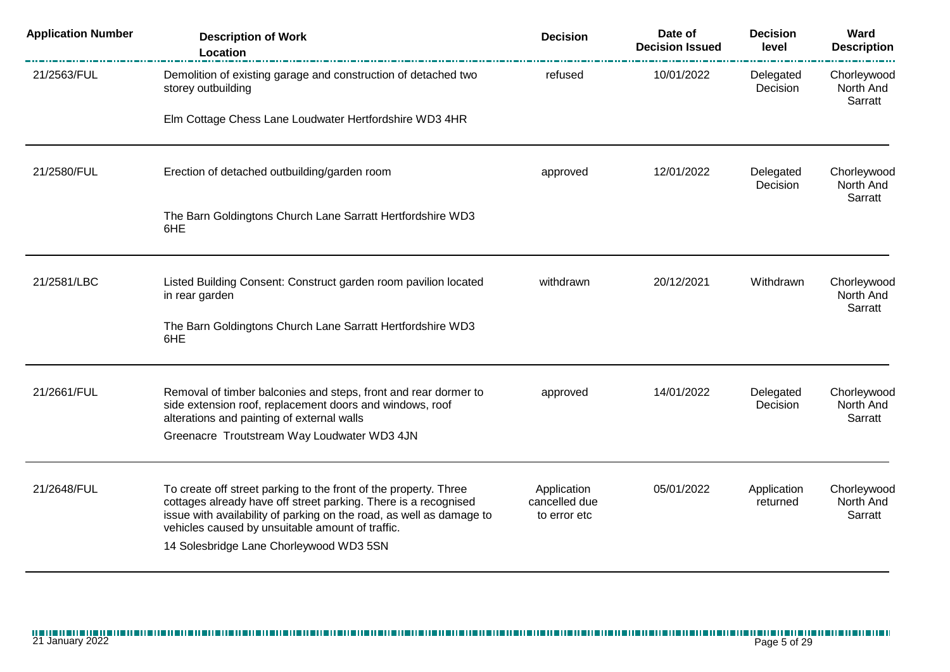| <b>Application Number</b> | <b>Description of Work</b><br>Location                                                                                                                                                                                                                                                                     | <b>Decision</b>                              | Date of<br><b>Decision Issued</b> | <b>Decision</b><br>level | Ward<br><b>Description</b>          |
|---------------------------|------------------------------------------------------------------------------------------------------------------------------------------------------------------------------------------------------------------------------------------------------------------------------------------------------------|----------------------------------------------|-----------------------------------|--------------------------|-------------------------------------|
| 21/2563/FUL               | Demolition of existing garage and construction of detached two<br>storey outbuilding                                                                                                                                                                                                                       | refused                                      | 10/01/2022                        | Delegated<br>Decision    | Chorleywood<br>North And<br>Sarratt |
|                           | Elm Cottage Chess Lane Loudwater Hertfordshire WD3 4HR                                                                                                                                                                                                                                                     |                                              |                                   |                          |                                     |
| 21/2580/FUL               | Erection of detached outbuilding/garden room                                                                                                                                                                                                                                                               | approved                                     | 12/01/2022                        | Delegated<br>Decision    | Chorleywood<br>North And<br>Sarratt |
|                           | The Barn Goldingtons Church Lane Sarratt Hertfordshire WD3<br>6HE                                                                                                                                                                                                                                          |                                              |                                   |                          |                                     |
| 21/2581/LBC               | Listed Building Consent: Construct garden room pavilion located<br>in rear garden                                                                                                                                                                                                                          | withdrawn                                    | 20/12/2021                        | Withdrawn                | Chorleywood<br>North And<br>Sarratt |
|                           | The Barn Goldingtons Church Lane Sarratt Hertfordshire WD3<br>6HE                                                                                                                                                                                                                                          |                                              |                                   |                          |                                     |
| 21/2661/FUL               | Removal of timber balconies and steps, front and rear dormer to<br>side extension roof, replacement doors and windows, roof<br>alterations and painting of external walls                                                                                                                                  | approved                                     | 14/01/2022                        | Delegated<br>Decision    | Chorleywood<br>North And<br>Sarratt |
|                           | Greenacre Troutstream Way Loudwater WD3 4JN                                                                                                                                                                                                                                                                |                                              |                                   |                          |                                     |
| 21/2648/FUL               | To create off street parking to the front of the property. Three<br>cottages already have off street parking. There is a recognised<br>issue with availability of parking on the road, as well as damage to<br>vehicles caused by unsuitable amount of traffic.<br>14 Solesbridge Lane Chorleywood WD3 5SN | Application<br>cancelled due<br>to error etc | 05/01/2022                        | Application<br>returned  | Chorleywood<br>North And<br>Sarratt |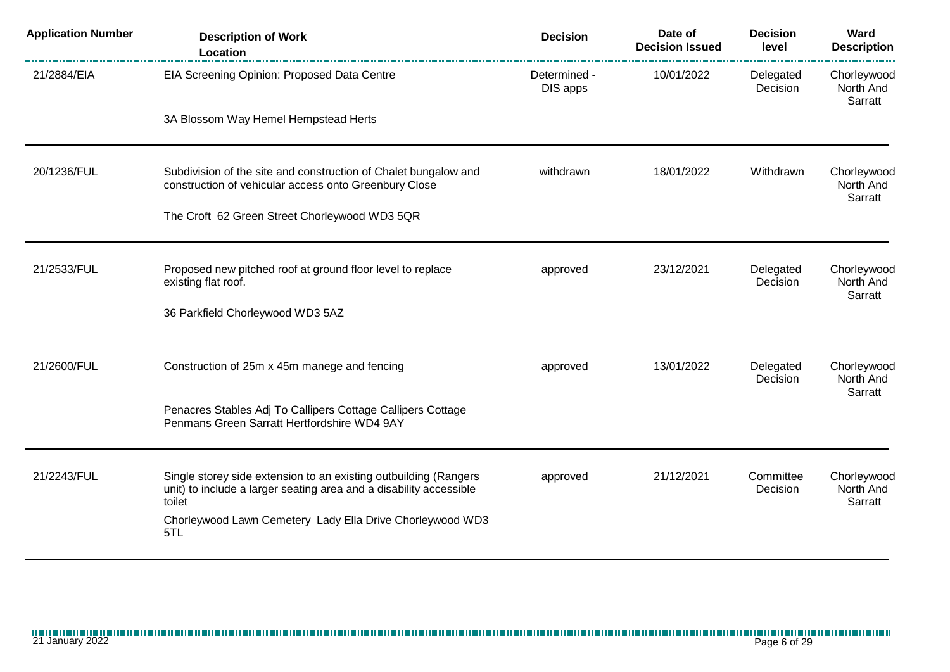| <b>Application Number</b> | <b>Description of Work</b><br>Location                                                                                                           | <b>Decision</b>          | Date of<br><b>Decision Issued</b> | <b>Decision</b><br>level | Ward<br><b>Description</b>          |
|---------------------------|--------------------------------------------------------------------------------------------------------------------------------------------------|--------------------------|-----------------------------------|--------------------------|-------------------------------------|
| 21/2884/EIA               | EIA Screening Opinion: Proposed Data Centre                                                                                                      | Determined -<br>DIS apps | 10/01/2022                        | Delegated<br>Decision    | Chorleywood<br>North And<br>Sarratt |
|                           | 3A Blossom Way Hemel Hempstead Herts                                                                                                             |                          |                                   |                          |                                     |
| 20/1236/FUL               | Subdivision of the site and construction of Chalet bungalow and<br>construction of vehicular access onto Greenbury Close                         | withdrawn                | 18/01/2022                        | Withdrawn                | Chorleywood<br>North And<br>Sarratt |
|                           | The Croft 62 Green Street Chorleywood WD3 5QR                                                                                                    |                          |                                   |                          |                                     |
| 21/2533/FUL               | Proposed new pitched roof at ground floor level to replace<br>existing flat roof.                                                                | approved                 | 23/12/2021                        | Delegated<br>Decision    | Chorleywood<br>North And            |
|                           | 36 Parkfield Chorleywood WD3 5AZ                                                                                                                 |                          |                                   |                          | Sarratt                             |
| 21/2600/FUL               | Construction of 25m x 45m manege and fencing                                                                                                     | approved                 | 13/01/2022                        | Delegated<br>Decision    | Chorleywood<br>North And            |
|                           | Penacres Stables Adj To Callipers Cottage Callipers Cottage<br>Penmans Green Sarratt Hertfordshire WD4 9AY                                       |                          |                                   |                          | Sarratt                             |
| 21/2243/FUL               | Single storey side extension to an existing outbuilding (Rangers<br>unit) to include a larger seating area and a disability accessible<br>toilet | approved                 | 21/12/2021                        | Committee<br>Decision    | Chorleywood<br>North And<br>Sarratt |
|                           | Chorleywood Lawn Cemetery Lady Ella Drive Chorleywood WD3<br>5TL                                                                                 |                          |                                   |                          |                                     |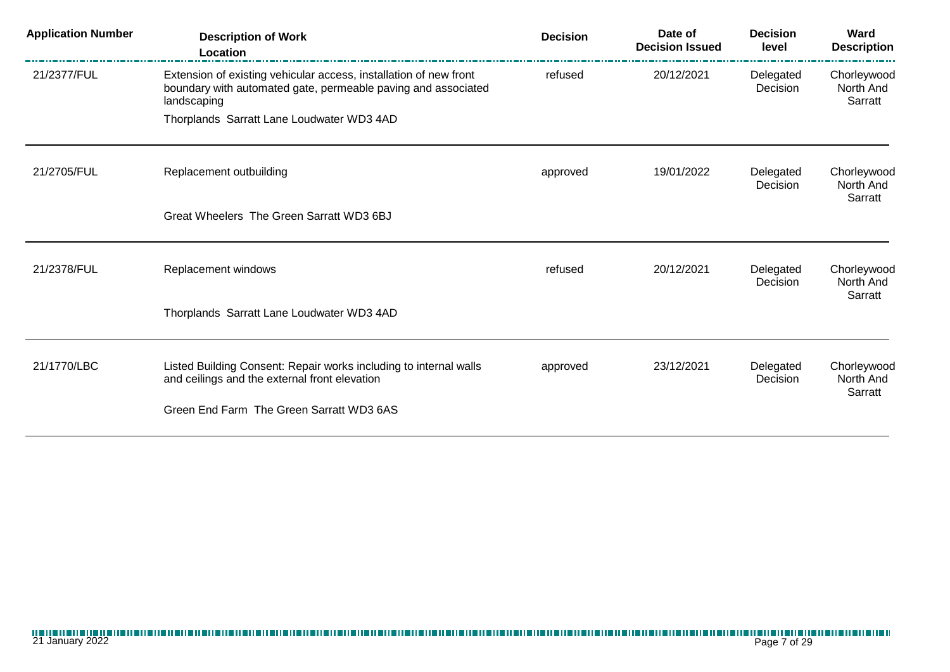| <b>Application Number</b> | <b>Description of Work</b><br>Location                                                                                                            | <b>Decision</b> | Date of<br><b>Decision Issued</b> | <b>Decision</b><br>level | Ward<br><b>Description</b>          |
|---------------------------|---------------------------------------------------------------------------------------------------------------------------------------------------|-----------------|-----------------------------------|--------------------------|-------------------------------------|
| 21/2377/FUL               | Extension of existing vehicular access, installation of new front<br>boundary with automated gate, permeable paving and associated<br>landscaping | refused         | 20/12/2021                        | Delegated<br>Decision    | Chorleywood<br>North And<br>Sarratt |
|                           | Thorplands Sarratt Lane Loudwater WD3 4AD                                                                                                         |                 |                                   |                          |                                     |
| 21/2705/FUL               | Replacement outbuilding                                                                                                                           | approved        | 19/01/2022                        | Delegated<br>Decision    | Chorleywood<br>North And<br>Sarratt |
|                           | Great Wheelers The Green Sarratt WD3 6BJ                                                                                                          |                 |                                   |                          |                                     |
| 21/2378/FUL               | Replacement windows                                                                                                                               | refused         | 20/12/2021                        | Delegated<br>Decision    | Chorleywood<br>North And<br>Sarratt |
|                           | Thorplands Sarratt Lane Loudwater WD3 4AD                                                                                                         |                 |                                   |                          |                                     |
| 21/1770/LBC               | Listed Building Consent: Repair works including to internal walls<br>and ceilings and the external front elevation                                | approved        | 23/12/2021                        | Delegated<br>Decision    | Chorleywood<br>North And<br>Sarratt |
|                           | Green End Farm The Green Sarratt WD3 6AS                                                                                                          |                 |                                   |                          |                                     |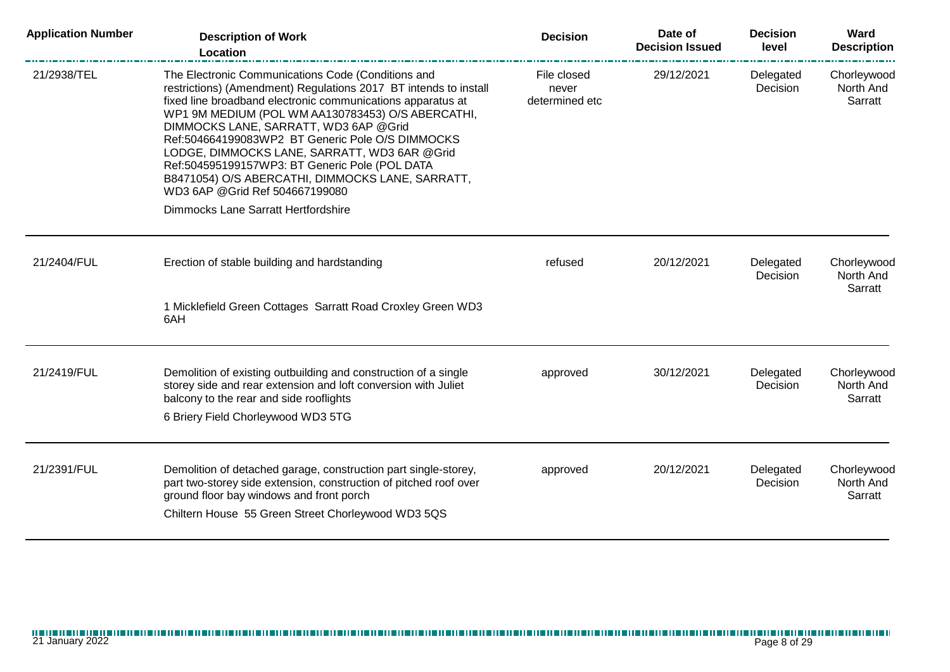| <b>Application Number</b> | <b>Description of Work</b><br>Location                                                                                                                                                                                                                                                                                                                                                                                                                                                                                                                                   | <b>Decision</b>                        | Date of<br><b>Decision Issued</b> | <b>Decision</b><br>level | Ward<br><b>Description</b>          |
|---------------------------|--------------------------------------------------------------------------------------------------------------------------------------------------------------------------------------------------------------------------------------------------------------------------------------------------------------------------------------------------------------------------------------------------------------------------------------------------------------------------------------------------------------------------------------------------------------------------|----------------------------------------|-----------------------------------|--------------------------|-------------------------------------|
| 21/2938/TEL               | The Electronic Communications Code (Conditions and<br>restrictions) (Amendment) Regulations 2017 BT intends to install<br>fixed line broadband electronic communications apparatus at<br>WP1 9M MEDIUM (POL WM AA130783453) O/S ABERCATHI,<br>DIMMOCKS LANE, SARRATT, WD3 6AP @Grid<br>Ref:504664199083WP2 BT Generic Pole O/S DIMMOCKS<br>LODGE, DIMMOCKS LANE, SARRATT, WD3 6AR @ Grid<br>Ref:504595199157WP3: BT Generic Pole (POL DATA<br>B8471054) O/S ABERCATHI, DIMMOCKS LANE, SARRATT,<br>WD3 6AP @ Grid Ref 504667199080<br>Dimmocks Lane Sarratt Hertfordshire | File closed<br>never<br>determined etc | 29/12/2021                        | Delegated<br>Decision    | Chorleywood<br>North And<br>Sarratt |
| 21/2404/FUL               | Erection of stable building and hardstanding<br>1 Micklefield Green Cottages Sarratt Road Croxley Green WD3<br>6AH                                                                                                                                                                                                                                                                                                                                                                                                                                                       | refused                                | 20/12/2021                        | Delegated<br>Decision    | Chorleywood<br>North And<br>Sarratt |
|                           |                                                                                                                                                                                                                                                                                                                                                                                                                                                                                                                                                                          |                                        |                                   |                          |                                     |
| 21/2419/FUL               | Demolition of existing outbuilding and construction of a single<br>storey side and rear extension and loft conversion with Juliet<br>balcony to the rear and side rooflights<br>6 Briery Field Chorleywood WD3 5TG                                                                                                                                                                                                                                                                                                                                                       | approved                               | 30/12/2021                        | Delegated<br>Decision    | Chorleywood<br>North And<br>Sarratt |
| 21/2391/FUL               | Demolition of detached garage, construction part single-storey,<br>part two-storey side extension, construction of pitched roof over<br>ground floor bay windows and front porch<br>Chiltern House 55 Green Street Chorleywood WD3 5QS                                                                                                                                                                                                                                                                                                                                   | approved                               | 20/12/2021                        | Delegated<br>Decision    | Chorleywood<br>North And<br>Sarratt |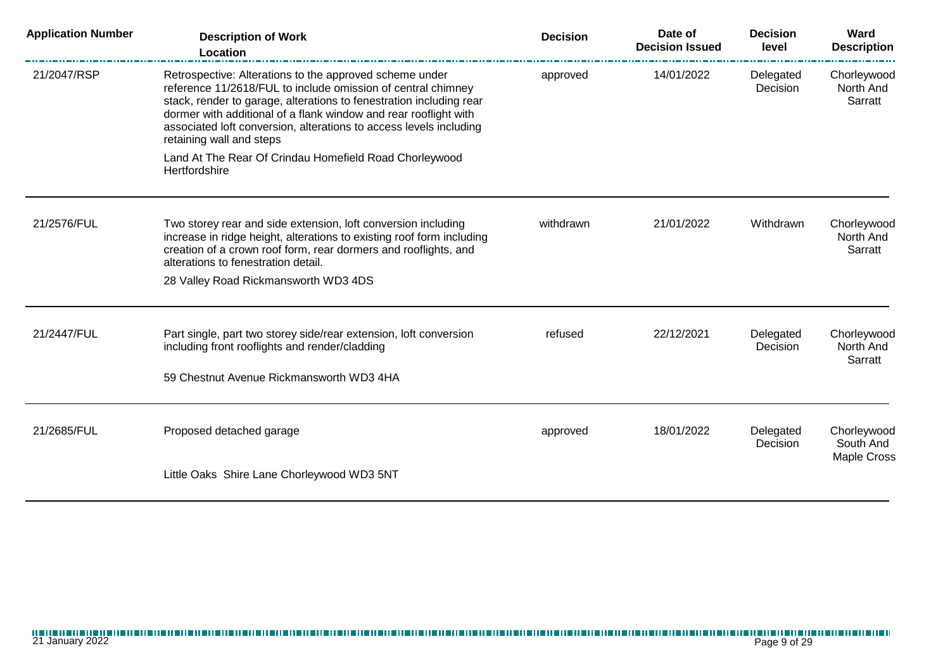| <b>Application Number</b> | <b>Description of Work</b><br>Location                                                                                                                                                                                                                                                                                                                               | <b>Decision</b> | Date of<br><b>Decision Issued</b> | <b>Decision</b><br>level | Ward<br><b>Description</b>                     |
|---------------------------|----------------------------------------------------------------------------------------------------------------------------------------------------------------------------------------------------------------------------------------------------------------------------------------------------------------------------------------------------------------------|-----------------|-----------------------------------|--------------------------|------------------------------------------------|
| 21/2047/RSP               | Retrospective: Alterations to the approved scheme under<br>reference 11/2618/FUL to include omission of central chimney<br>stack, render to garage, alterations to fenestration including rear<br>dormer with additional of a flank window and rear rooflight with<br>associated loft conversion, alterations to access levels including<br>retaining wall and steps | approved        | 14/01/2022                        | Delegated<br>Decision    | Chorleywood<br>North And<br>Sarratt            |
|                           | Land At The Rear Of Crindau Homefield Road Chorleywood<br>Hertfordshire                                                                                                                                                                                                                                                                                              |                 |                                   |                          |                                                |
| 21/2576/FUL               | Two storey rear and side extension, loft conversion including<br>increase in ridge height, alterations to existing roof form including<br>creation of a crown roof form, rear dormers and rooflights, and<br>alterations to fenestration detail.                                                                                                                     | withdrawn       | 21/01/2022                        | Withdrawn                | Chorleywood<br>North And<br>Sarratt            |
|                           | 28 Valley Road Rickmansworth WD3 4DS                                                                                                                                                                                                                                                                                                                                 |                 |                                   |                          |                                                |
| 21/2447/FUL               | Part single, part two storey side/rear extension, loft conversion<br>including front rooflights and render/cladding<br>59 Chestnut Avenue Rickmansworth WD3 4HA                                                                                                                                                                                                      | refused         | 22/12/2021                        | Delegated<br>Decision    | Chorleywood<br>North And<br>Sarratt            |
|                           |                                                                                                                                                                                                                                                                                                                                                                      |                 |                                   |                          |                                                |
| 21/2685/FUL               | Proposed detached garage                                                                                                                                                                                                                                                                                                                                             | approved        | 18/01/2022                        | Delegated<br>Decision    | Chorleywood<br>South And<br><b>Maple Cross</b> |
|                           | Little Oaks Shire Lane Chorleywood WD3 5NT                                                                                                                                                                                                                                                                                                                           |                 |                                   |                          |                                                |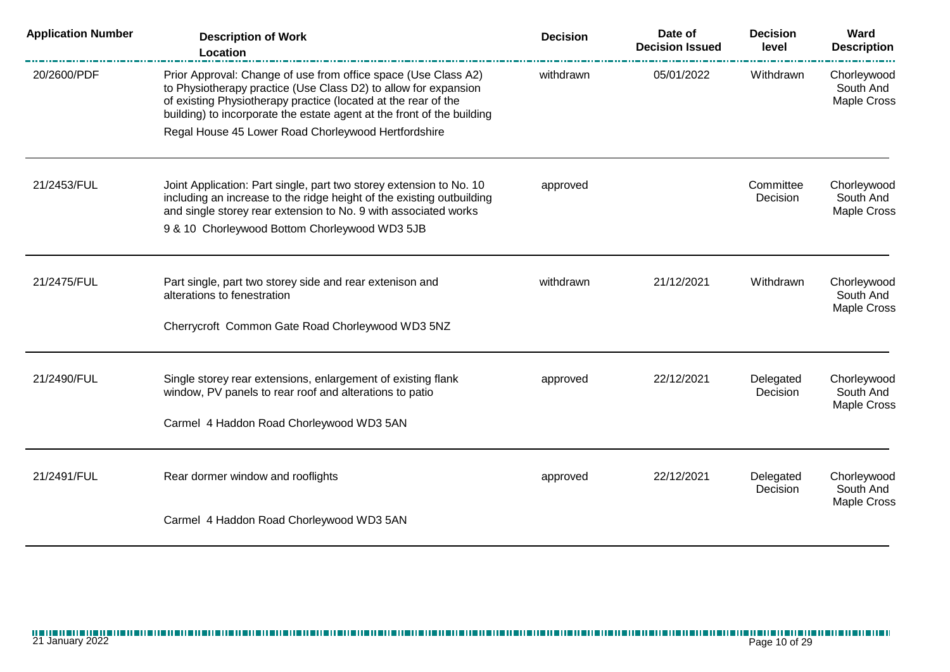| <b>Application Number</b> | <b>Description of Work</b><br>Location                                                                                                                                                                                                                                        | <b>Decision</b>      | Date of<br><b>Decision Issued</b> | <b>Decision</b><br>level                | Ward<br><b>Description</b>              |
|---------------------------|-------------------------------------------------------------------------------------------------------------------------------------------------------------------------------------------------------------------------------------------------------------------------------|----------------------|-----------------------------------|-----------------------------------------|-----------------------------------------|
| 20/2600/PDF               | Prior Approval: Change of use from office space (Use Class A2)<br>to Physiotherapy practice (Use Class D2) to allow for expansion<br>of existing Physiotherapy practice (located at the rear of the<br>building) to incorporate the estate agent at the front of the building | withdrawn            | 05/01/2022                        | Withdrawn                               | Chorleywood<br>South And<br>Maple Cross |
|                           | Regal House 45 Lower Road Chorleywood Hertfordshire                                                                                                                                                                                                                           |                      |                                   |                                         |                                         |
| 21/2453/FUL               | Joint Application: Part single, part two storey extension to No. 10<br>including an increase to the ridge height of the existing outbuilding<br>and single storey rear extension to No. 9 with associated works                                                               | approved<br>Decision | Committee                         | Chorleywood<br>South And<br>Maple Cross |                                         |
|                           | 9 & 10 Chorleywood Bottom Chorleywood WD3 5JB                                                                                                                                                                                                                                 |                      |                                   |                                         |                                         |
| 21/2475/FUL               | Part single, part two storey side and rear extenison and<br>alterations to fenestration                                                                                                                                                                                       | withdrawn            | 21/12/2021                        | Withdrawn                               | Chorleywood<br>South And<br>Maple Cross |
|                           | Cherrycroft Common Gate Road Chorleywood WD3 5NZ                                                                                                                                                                                                                              |                      |                                   |                                         |                                         |
| 21/2490/FUL               | Single storey rear extensions, enlargement of existing flank<br>window, PV panels to rear roof and alterations to patio                                                                                                                                                       | approved             | 22/12/2021                        | Delegated<br>Decision                   | Chorleywood<br>South And<br>Maple Cross |
|                           | Carmel 4 Haddon Road Chorleywood WD3 5AN                                                                                                                                                                                                                                      |                      |                                   |                                         |                                         |
| 21/2491/FUL               | Rear dormer window and rooflights                                                                                                                                                                                                                                             | approved             | 22/12/2021                        | Delegated<br>Decision                   | Chorleywood<br>South And<br>Maple Cross |
|                           | Carmel 4 Haddon Road Chorleywood WD3 5AN                                                                                                                                                                                                                                      |                      |                                   |                                         |                                         |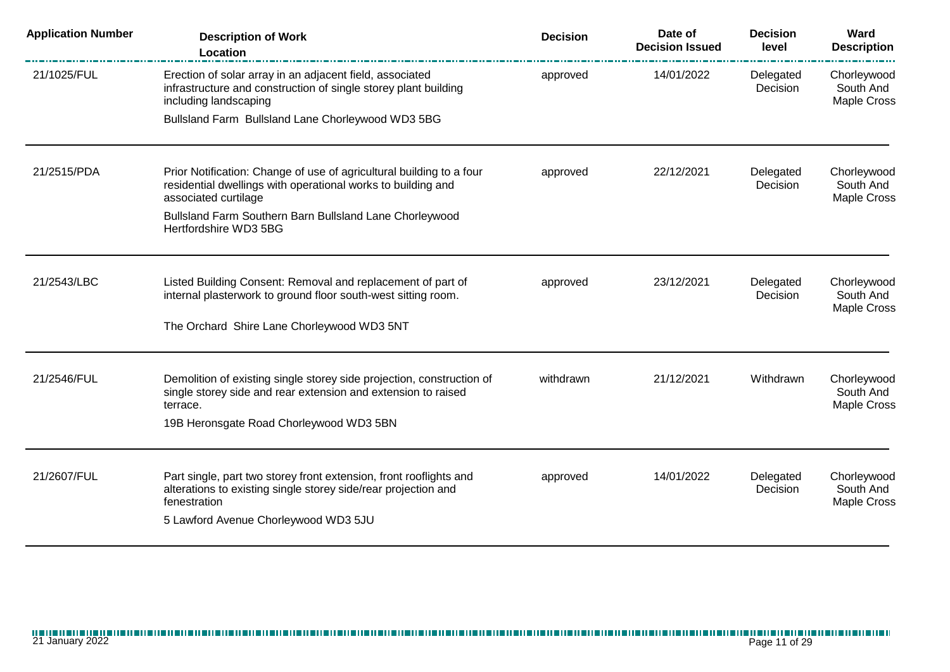| <b>Application Number</b> | <b>Description of Work</b><br>Location                                                                                                                       | <b>Decision</b> | Date of<br><b>Decision Issued</b> | <b>Decision</b><br>level | Ward<br><b>Description</b>                     |
|---------------------------|--------------------------------------------------------------------------------------------------------------------------------------------------------------|-----------------|-----------------------------------|--------------------------|------------------------------------------------|
| 21/1025/FUL               | Erection of solar array in an adjacent field, associated<br>infrastructure and construction of single storey plant building<br>including landscaping         | approved        | 14/01/2022                        | Delegated<br>Decision    | Chorleywood<br>South And<br><b>Maple Cross</b> |
|                           | Bullsland Farm Bullsland Lane Chorleywood WD3 5BG                                                                                                            |                 |                                   |                          |                                                |
| 21/2515/PDA               | Prior Notification: Change of use of agricultural building to a four<br>residential dwellings with operational works to building and<br>associated curtilage | approved        | 22/12/2021                        | Delegated<br>Decision    | Chorleywood<br>South And<br>Maple Cross        |
|                           | Bullsland Farm Southern Barn Bullsland Lane Chorleywood<br>Hertfordshire WD3 5BG                                                                             |                 |                                   |                          |                                                |
| 21/2543/LBC               | Listed Building Consent: Removal and replacement of part of                                                                                                  | approved        | 23/12/2021                        | Delegated                | Chorleywood                                    |
|                           | internal plasterwork to ground floor south-west sitting room.<br>The Orchard Shire Lane Chorleywood WD3 5NT                                                  |                 |                                   | Decision                 | South And<br>Maple Cross                       |
|                           |                                                                                                                                                              |                 |                                   |                          |                                                |
| 21/2546/FUL               | Demolition of existing single storey side projection, construction of<br>single storey side and rear extension and extension to raised<br>terrace.           | withdrawn       | 21/12/2021                        | Withdrawn                | Chorleywood<br>South And<br>Maple Cross        |
|                           | 19B Heronsgate Road Chorleywood WD3 5BN                                                                                                                      |                 |                                   |                          |                                                |
| 21/2607/FUL               | Part single, part two storey front extension, front rooflights and                                                                                           | approved        | 14/01/2022                        | Delegated                | Chorleywood                                    |
|                           | alterations to existing single storey side/rear projection and<br>fenestration                                                                               |                 |                                   | Decision                 | South And<br>Maple Cross                       |
|                           | 5 Lawford Avenue Chorleywood WD3 5JU                                                                                                                         |                 |                                   |                          |                                                |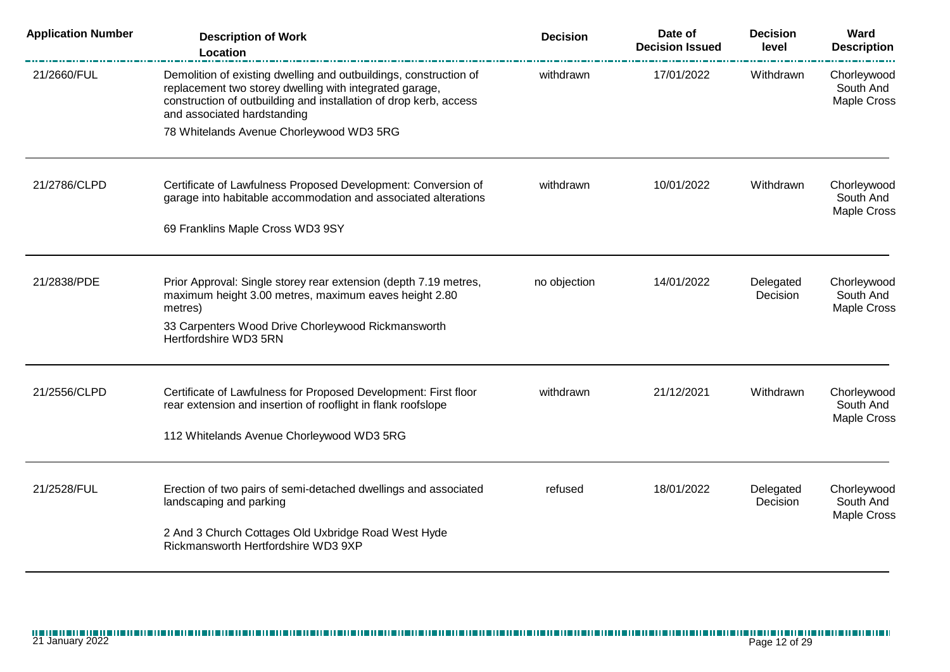| <b>Application Number</b> | <b>Description of Work</b><br>Location                                                                                                                                                                                           | <b>Decision</b> | Date of<br><b>Decision Issued</b> | <b>Decision</b><br>level | Ward<br><b>Description</b><br><u>n man ma</u> n i |
|---------------------------|----------------------------------------------------------------------------------------------------------------------------------------------------------------------------------------------------------------------------------|-----------------|-----------------------------------|--------------------------|---------------------------------------------------|
| 21/2660/FUL               | Demolition of existing dwelling and outbuildings, construction of<br>replacement two storey dwelling with integrated garage,<br>construction of outbuilding and installation of drop kerb, access<br>and associated hardstanding | withdrawn       | 17/01/2022                        | Withdrawn                | Chorleywood<br>South And<br>Maple Cross           |
|                           | 78 Whitelands Avenue Chorleywood WD3 5RG                                                                                                                                                                                         |                 |                                   |                          |                                                   |
| 21/2786/CLPD              | Certificate of Lawfulness Proposed Development: Conversion of<br>garage into habitable accommodation and associated alterations                                                                                                  | withdrawn       | 10/01/2022                        | Withdrawn                | Chorleywood<br>South And<br>Maple Cross           |
|                           | 69 Franklins Maple Cross WD3 9SY                                                                                                                                                                                                 |                 |                                   |                          |                                                   |
| 21/2838/PDE               | Prior Approval: Single storey rear extension (depth 7.19 metres,<br>maximum height 3.00 metres, maximum eaves height 2.80<br>metres)                                                                                             | no objection    | 14/01/2022                        | Delegated<br>Decision    | Chorleywood<br>South And<br>Maple Cross           |
|                           | 33 Carpenters Wood Drive Chorleywood Rickmansworth<br>Hertfordshire WD3 5RN                                                                                                                                                      |                 |                                   |                          |                                                   |
| 21/2556/CLPD              | Certificate of Lawfulness for Proposed Development: First floor                                                                                                                                                                  | withdrawn       | 21/12/2021                        | Withdrawn                | Chorleywood                                       |
|                           | rear extension and insertion of rooflight in flank roofslope<br>112 Whitelands Avenue Chorleywood WD3 5RG                                                                                                                        |                 |                                   |                          | South And<br>Maple Cross                          |
|                           |                                                                                                                                                                                                                                  |                 |                                   |                          |                                                   |
| 21/2528/FUL               | Erection of two pairs of semi-detached dwellings and associated<br>landscaping and parking                                                                                                                                       | refused         | 18/01/2022                        | Delegated<br>Decision    | Chorleywood<br>South And<br><b>Maple Cross</b>    |
|                           | 2 And 3 Church Cottages Old Uxbridge Road West Hyde<br>Rickmansworth Hertfordshire WD3 9XP                                                                                                                                       |                 |                                   |                          |                                                   |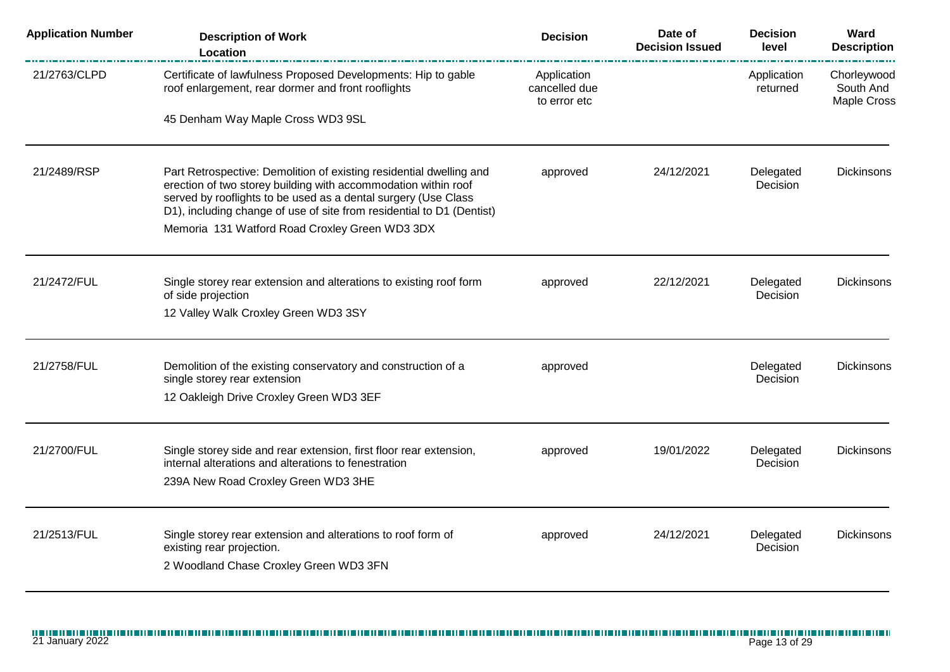| <b>Application Number</b> | <b>Description of Work</b><br>Location                                                                                                                                                                                                                                           | <b>Decision</b>                              | Date of<br><b>Decision Issued</b> | <b>Decision</b><br>level | Ward<br><b>Description</b>                     |
|---------------------------|----------------------------------------------------------------------------------------------------------------------------------------------------------------------------------------------------------------------------------------------------------------------------------|----------------------------------------------|-----------------------------------|--------------------------|------------------------------------------------|
| 21/2763/CLPD              | Certificate of lawfulness Proposed Developments: Hip to gable<br>roof enlargement, rear dormer and front rooflights                                                                                                                                                              | Application<br>cancelled due<br>to error etc |                                   | Application<br>returned  | Chorleywood<br>South And<br><b>Maple Cross</b> |
|                           | 45 Denham Way Maple Cross WD3 9SL                                                                                                                                                                                                                                                |                                              |                                   |                          |                                                |
| 21/2489/RSP               | Part Retrospective: Demolition of existing residential dwelling and<br>erection of two storey building with accommodation within roof<br>served by rooflights to be used as a dental surgery (Use Class<br>D1), including change of use of site from residential to D1 (Dentist) | approved                                     | 24/12/2021                        | Delegated<br>Decision    | <b>Dickinsons</b>                              |
|                           | Memoria 131 Watford Road Croxley Green WD3 3DX                                                                                                                                                                                                                                   |                                              |                                   |                          |                                                |
| 21/2472/FUL               | Single storey rear extension and alterations to existing roof form<br>of side projection<br>12 Valley Walk Croxley Green WD3 3SY                                                                                                                                                 | approved                                     | 22/12/2021                        | Delegated<br>Decision    | <b>Dickinsons</b>                              |
|                           |                                                                                                                                                                                                                                                                                  |                                              |                                   |                          |                                                |
| 21/2758/FUL               | Demolition of the existing conservatory and construction of a<br>single storey rear extension<br>12 Oakleigh Drive Croxley Green WD3 3EF                                                                                                                                         | approved                                     |                                   | Delegated<br>Decision    | <b>Dickinsons</b>                              |
|                           |                                                                                                                                                                                                                                                                                  |                                              |                                   |                          |                                                |
| 21/2700/FUL               | Single storey side and rear extension, first floor rear extension,<br>internal alterations and alterations to fenestration<br>239A New Road Croxley Green WD3 3HE                                                                                                                | approved                                     | 19/01/2022                        | Delegated<br>Decision    | <b>Dickinsons</b>                              |
| 21/2513/FUL               | Single storey rear extension and alterations to roof form of<br>existing rear projection.<br>2 Woodland Chase Croxley Green WD3 3FN                                                                                                                                              | approved                                     | 24/12/2021                        | Delegated<br>Decision    | <b>Dickinsons</b>                              |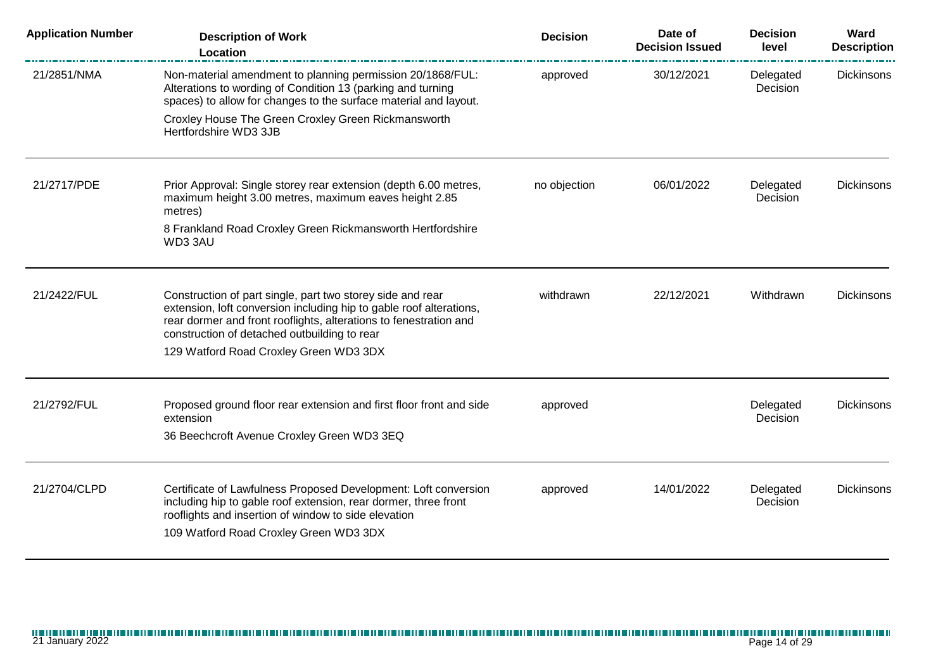| <b>Application Number</b> | <b>Description of Work</b><br>Location                                                                                                                                                                                                                                                           | <b>Decision</b> | Date of<br><b>Decision Issued</b> | <b>Decision</b><br>level | Ward<br><b>Description</b> |
|---------------------------|--------------------------------------------------------------------------------------------------------------------------------------------------------------------------------------------------------------------------------------------------------------------------------------------------|-----------------|-----------------------------------|--------------------------|----------------------------|
| 21/2851/NMA               | Non-material amendment to planning permission 20/1868/FUL:<br>Alterations to wording of Condition 13 (parking and turning<br>spaces) to allow for changes to the surface material and layout.                                                                                                    | approved        | 30/12/2021                        | Delegated<br>Decision    | <b>Dickinsons</b>          |
|                           | Croxley House The Green Croxley Green Rickmansworth<br>Hertfordshire WD3 3JB                                                                                                                                                                                                                     |                 |                                   |                          |                            |
| 21/2717/PDE               | Prior Approval: Single storey rear extension (depth 6.00 metres,<br>maximum height 3.00 metres, maximum eaves height 2.85<br>metres)                                                                                                                                                             | no objection    | 06/01/2022                        | Delegated<br>Decision    | <b>Dickinsons</b>          |
|                           | 8 Frankland Road Croxley Green Rickmansworth Hertfordshire<br>WD33AU                                                                                                                                                                                                                             |                 |                                   |                          |                            |
| 21/2422/FUL               | Construction of part single, part two storey side and rear<br>extension, loft conversion including hip to gable roof alterations,<br>rear dormer and front rooflights, alterations to fenestration and<br>construction of detached outbuilding to rear<br>129 Watford Road Croxley Green WD3 3DX | withdrawn       | 22/12/2021                        | Withdrawn                | <b>Dickinsons</b>          |
| 21/2792/FUL               | Proposed ground floor rear extension and first floor front and side<br>extension<br>36 Beechcroft Avenue Croxley Green WD3 3EQ                                                                                                                                                                   | approved        |                                   | Delegated<br>Decision    | <b>Dickinsons</b>          |
| 21/2704/CLPD              | Certificate of Lawfulness Proposed Development: Loft conversion<br>including hip to gable roof extension, rear dormer, three front<br>rooflights and insertion of window to side elevation<br>109 Watford Road Croxley Green WD3 3DX                                                             | approved        | 14/01/2022                        | Delegated<br>Decision    | <b>Dickinsons</b>          |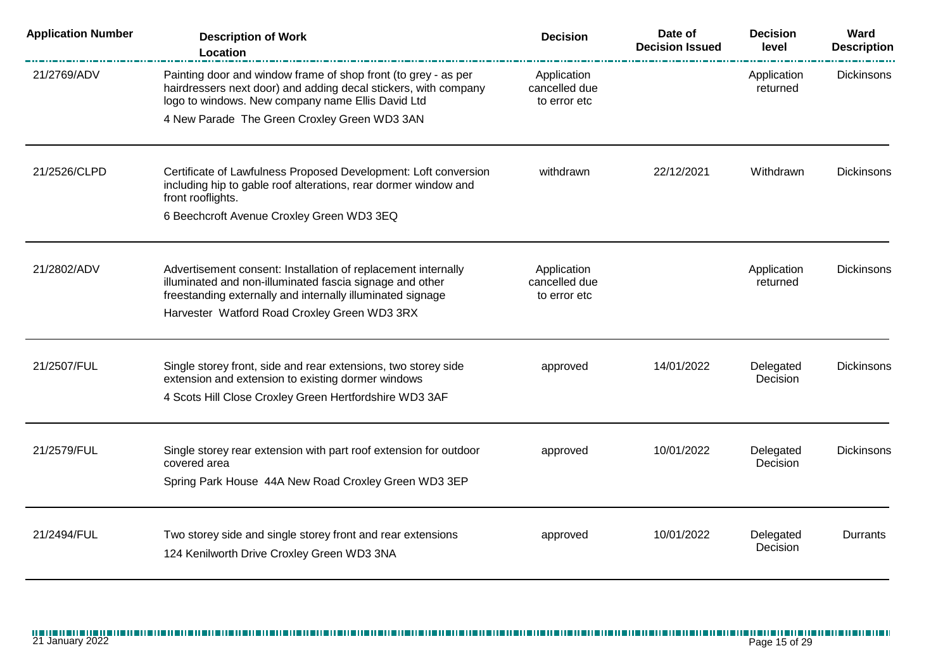| <b>Application Number</b> | <b>Description of Work</b><br>Location                                                                                                                                                  | <b>Decision</b>                              | Date of<br><b>Decision Issued</b> | <b>Decision</b><br>level | Ward<br><b>Description</b> |
|---------------------------|-----------------------------------------------------------------------------------------------------------------------------------------------------------------------------------------|----------------------------------------------|-----------------------------------|--------------------------|----------------------------|
| 21/2769/ADV               | Painting door and window frame of shop front (to grey - as per<br>hairdressers next door) and adding decal stickers, with company<br>logo to windows. New company name Ellis David Ltd  | Application<br>cancelled due<br>to error etc |                                   | Application<br>returned  | <b>Dickinsons</b>          |
|                           | 4 New Parade The Green Croxley Green WD3 3AN                                                                                                                                            |                                              |                                   |                          |                            |
| 21/2526/CLPD              | Certificate of Lawfulness Proposed Development: Loft conversion<br>including hip to gable roof alterations, rear dormer window and<br>front rooflights.                                 | withdrawn                                    | 22/12/2021                        | Withdrawn                | Dickinsons                 |
|                           | 6 Beechcroft Avenue Croxley Green WD3 3EQ                                                                                                                                               |                                              |                                   |                          |                            |
| 21/2802/ADV               | Advertisement consent: Installation of replacement internally<br>illuminated and non-illuminated fascia signage and other<br>freestanding externally and internally illuminated signage | Application<br>cancelled due<br>to error etc |                                   | Application<br>returned  | <b>Dickinsons</b>          |
|                           | Harvester Watford Road Croxley Green WD3 3RX                                                                                                                                            |                                              |                                   |                          |                            |
| 21/2507/FUL               | Single storey front, side and rear extensions, two storey side<br>extension and extension to existing dormer windows                                                                    | approved                                     | 14/01/2022                        | Delegated<br>Decision    | <b>Dickinsons</b>          |
|                           | 4 Scots Hill Close Croxley Green Hertfordshire WD3 3AF                                                                                                                                  |                                              |                                   |                          |                            |
| 21/2579/FUL               | Single storey rear extension with part roof extension for outdoor<br>covered area                                                                                                       | approved                                     | 10/01/2022                        | Delegated<br>Decision    | <b>Dickinsons</b>          |
|                           | Spring Park House 44A New Road Croxley Green WD3 3EP                                                                                                                                    |                                              |                                   |                          |                            |
| 21/2494/FUL               | Two storey side and single storey front and rear extensions<br>124 Kenilworth Drive Croxley Green WD3 3NA                                                                               | approved                                     | 10/01/2022                        | Delegated<br>Decision    | Durrants                   |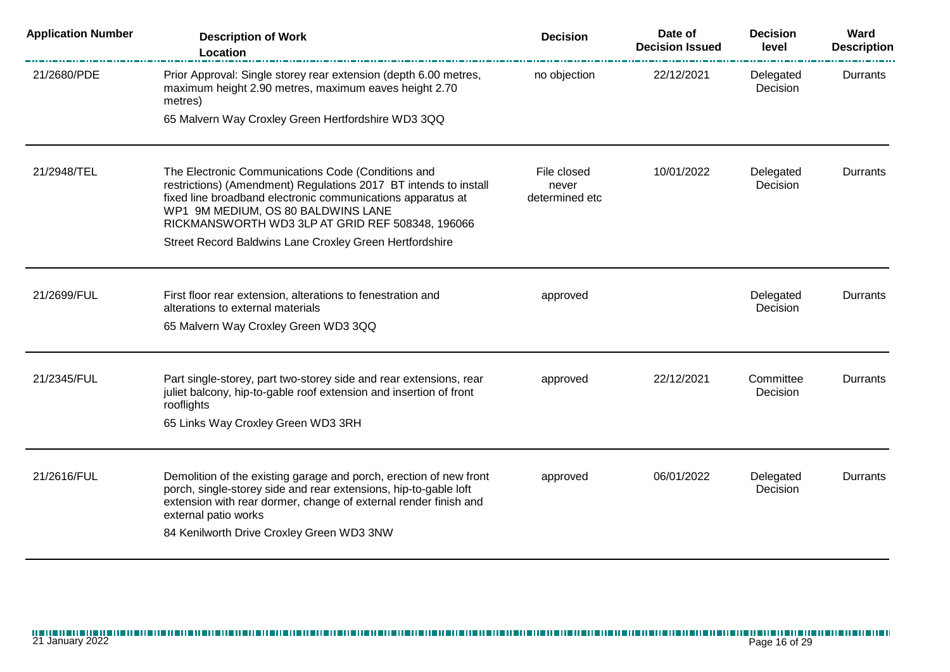| <b>Application Number</b> | <b>Description of Work</b><br>Location                                                                                                                                                                                                                                          | <b>Decision</b>                        | Date of<br><b>Decision Issued</b> | <b>Decision</b><br>level | Ward<br><b>Description</b> |
|---------------------------|---------------------------------------------------------------------------------------------------------------------------------------------------------------------------------------------------------------------------------------------------------------------------------|----------------------------------------|-----------------------------------|--------------------------|----------------------------|
| 21/2680/PDE               | Prior Approval: Single storey rear extension (depth 6.00 metres,<br>maximum height 2.90 metres, maximum eaves height 2.70<br>metres)<br>65 Malvern Way Croxley Green Hertfordshire WD3 3QQ                                                                                      | no objection                           | 22/12/2021                        | Delegated<br>Decision    | Durrants                   |
|                           |                                                                                                                                                                                                                                                                                 |                                        |                                   |                          |                            |
| 21/2948/TEL               | The Electronic Communications Code (Conditions and<br>restrictions) (Amendment) Regulations 2017 BT intends to install<br>fixed line broadband electronic communications apparatus at<br>WP1 9M MEDIUM, OS 80 BALDWINS LANE<br>RICKMANSWORTH WD3 3LP AT GRID REF 508348, 196066 | File closed<br>never<br>determined etc | 10/01/2022                        | Delegated<br>Decision    | Durrants                   |
|                           | Street Record Baldwins Lane Croxley Green Hertfordshire                                                                                                                                                                                                                         |                                        |                                   |                          |                            |
| 21/2699/FUL               | First floor rear extension, alterations to fenestration and<br>alterations to external materials                                                                                                                                                                                | approved                               |                                   | Delegated<br>Decision    | Durrants                   |
|                           | 65 Malvern Way Croxley Green WD3 3QQ                                                                                                                                                                                                                                            |                                        |                                   |                          |                            |
| 21/2345/FUL               | Part single-storey, part two-storey side and rear extensions, rear<br>juliet balcony, hip-to-gable roof extension and insertion of front<br>rooflights                                                                                                                          | approved                               | 22/12/2021                        | Committee<br>Decision    | Durrants                   |
|                           | 65 Links Way Croxley Green WD3 3RH                                                                                                                                                                                                                                              |                                        |                                   |                          |                            |
| 21/2616/FUL               | Demolition of the existing garage and porch, erection of new front<br>porch, single-storey side and rear extensions, hip-to-gable loft<br>extension with rear dormer, change of external render finish and<br>external patio works<br>84 Kenilworth Drive Croxley Green WD3 3NW | approved                               | 06/01/2022                        | Delegated<br>Decision    | Durrants                   |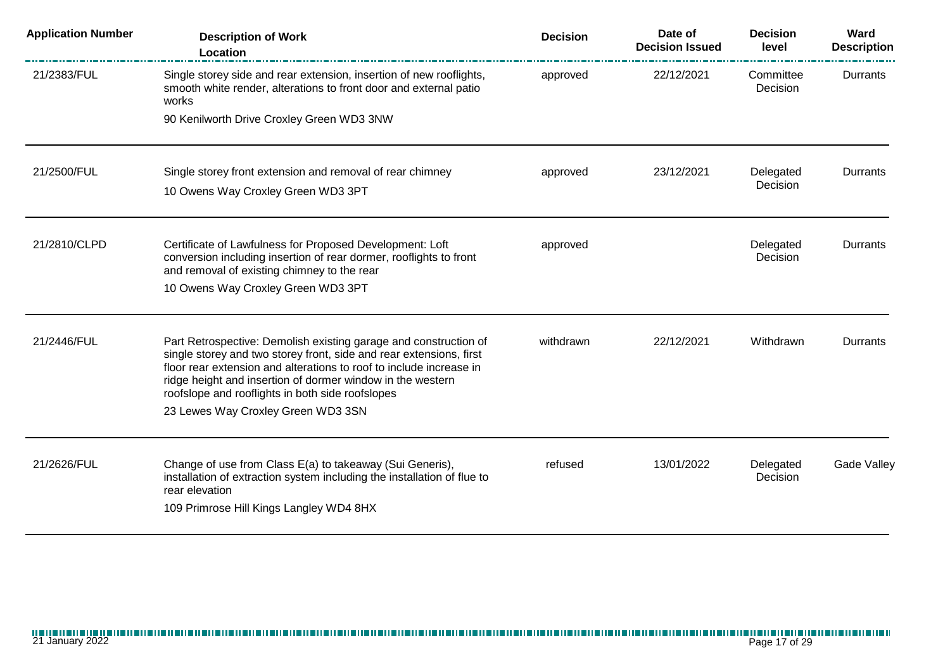| <b>Application Number</b> | <b>Description of Work</b><br>Location                                                                                                                                                                                                                                                                                           | <b>Decision</b> | Date of<br><b>Decision Issued</b> | <b>Decision</b><br>level | Ward<br><b>Description</b> |
|---------------------------|----------------------------------------------------------------------------------------------------------------------------------------------------------------------------------------------------------------------------------------------------------------------------------------------------------------------------------|-----------------|-----------------------------------|--------------------------|----------------------------|
| 21/2383/FUL               | Single storey side and rear extension, insertion of new rooflights,<br>smooth white render, alterations to front door and external patio<br>works                                                                                                                                                                                | approved        | 22/12/2021                        | Committee<br>Decision    | Durrants                   |
|                           | 90 Kenilworth Drive Croxley Green WD3 3NW                                                                                                                                                                                                                                                                                        |                 |                                   |                          |                            |
| 21/2500/FUL               | Single storey front extension and removal of rear chimney                                                                                                                                                                                                                                                                        | approved        | 23/12/2021                        | Delegated                | Durrants                   |
|                           | 10 Owens Way Croxley Green WD3 3PT                                                                                                                                                                                                                                                                                               |                 |                                   | Decision                 |                            |
| 21/2810/CLPD              | Certificate of Lawfulness for Proposed Development: Loft<br>conversion including insertion of rear dormer, rooflights to front<br>and removal of existing chimney to the rear                                                                                                                                                    | approved        |                                   | Delegated<br>Decision    | Durrants                   |
|                           | 10 Owens Way Croxley Green WD3 3PT                                                                                                                                                                                                                                                                                               |                 |                                   |                          |                            |
| 21/2446/FUL               | Part Retrospective: Demolish existing garage and construction of<br>single storey and two storey front, side and rear extensions, first<br>floor rear extension and alterations to roof to include increase in<br>ridge height and insertion of dormer window in the western<br>roofslope and rooflights in both side roofslopes | withdrawn       | 22/12/2021                        | Withdrawn                | <b>Durrants</b>            |
|                           | 23 Lewes Way Croxley Green WD3 3SN                                                                                                                                                                                                                                                                                               |                 |                                   |                          |                            |
| 21/2626/FUL               | Change of use from Class E(a) to takeaway (Sui Generis),<br>installation of extraction system including the installation of flue to<br>rear elevation<br>109 Primrose Hill Kings Langley WD4 8HX                                                                                                                                 | refused         | 13/01/2022                        | Delegated<br>Decision    | <b>Gade Valley</b>         |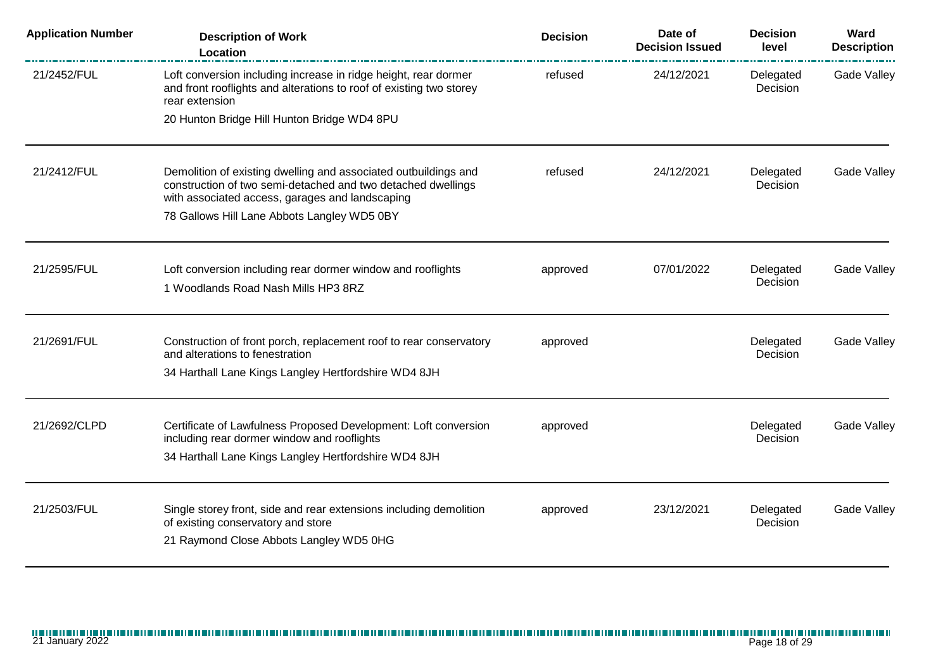| <b>Application Number</b> | <b>Description of Work</b><br><b>Location</b>                                                                                                                                                                                     | <b>Decision</b> | Date of<br><b>Decision Issued</b> | <b>Decision</b><br>level | Ward<br><b>Description</b> |
|---------------------------|-----------------------------------------------------------------------------------------------------------------------------------------------------------------------------------------------------------------------------------|-----------------|-----------------------------------|--------------------------|----------------------------|
| 21/2452/FUL               | Loft conversion including increase in ridge height, rear dormer<br>and front rooflights and alterations to roof of existing two storey<br>rear extension                                                                          | refused         | 24/12/2021                        | Delegated<br>Decision    | Gade Valley                |
|                           | 20 Hunton Bridge Hill Hunton Bridge WD4 8PU                                                                                                                                                                                       |                 |                                   |                          |                            |
| 21/2412/FUL               | Demolition of existing dwelling and associated outbuildings and<br>construction of two semi-detached and two detached dwellings<br>with associated access, garages and landscaping<br>78 Gallows Hill Lane Abbots Langley WD5 0BY | refused         | 24/12/2021                        | Delegated<br>Decision    | Gade Valley                |
|                           |                                                                                                                                                                                                                                   |                 |                                   |                          |                            |
| 21/2595/FUL               | Loft conversion including rear dormer window and rooflights<br>1 Woodlands Road Nash Mills HP3 8RZ                                                                                                                                | approved        | 07/01/2022                        | Delegated<br>Decision    | Gade Valley                |
| 21/2691/FUL               | Construction of front porch, replacement roof to rear conservatory<br>and alterations to fenestration<br>34 Harthall Lane Kings Langley Hertfordshire WD4 8JH                                                                     | approved        |                                   | Delegated<br>Decision    | Gade Valley                |
| 21/2692/CLPD              | Certificate of Lawfulness Proposed Development: Loft conversion<br>including rear dormer window and rooflights<br>34 Harthall Lane Kings Langley Hertfordshire WD4 8JH                                                            | approved        |                                   | Delegated<br>Decision    | Gade Valley                |
| 21/2503/FUL               | Single storey front, side and rear extensions including demolition<br>of existing conservatory and store<br>21 Raymond Close Abbots Langley WD5 0HG                                                                               | approved        | 23/12/2021                        | Delegated<br>Decision    | Gade Valley                |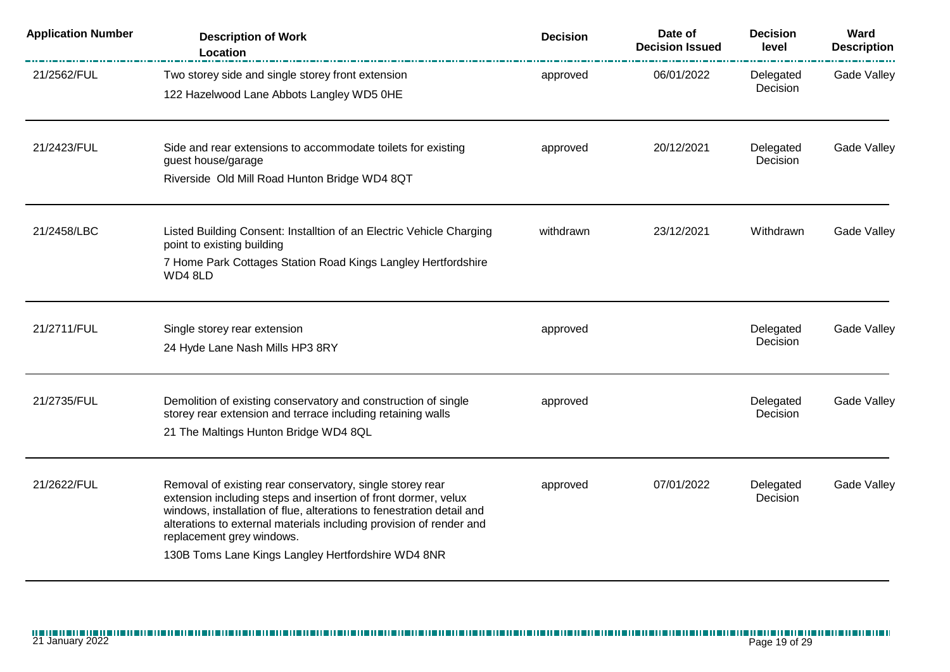| <b>Application Number</b> | <b>Description of Work</b><br>Location                                                                                                                                                                                                                                                                                                                         | <b>Decision</b> | Date of<br><b>Decision Issued</b> | <b>Decision</b><br>level | Ward<br><b>Description</b> |
|---------------------------|----------------------------------------------------------------------------------------------------------------------------------------------------------------------------------------------------------------------------------------------------------------------------------------------------------------------------------------------------------------|-----------------|-----------------------------------|--------------------------|----------------------------|
| 21/2562/FUL               | Two storey side and single storey front extension<br>122 Hazelwood Lane Abbots Langley WD5 0HE                                                                                                                                                                                                                                                                 | approved        | 06/01/2022                        | Delegated<br>Decision    | <b>Gade Valley</b>         |
| 21/2423/FUL               | Side and rear extensions to accommodate toilets for existing<br>guest house/garage<br>Riverside Old Mill Road Hunton Bridge WD4 8QT                                                                                                                                                                                                                            | approved        | 20/12/2021                        | Delegated<br>Decision    | Gade Valley                |
| 21/2458/LBC               | Listed Building Consent: Installtion of an Electric Vehicle Charging<br>point to existing building<br>7 Home Park Cottages Station Road Kings Langley Hertfordshire<br>WD4 8LD                                                                                                                                                                                 | withdrawn       | 23/12/2021                        | Withdrawn                | Gade Valley                |
| 21/2711/FUL               | Single storey rear extension<br>24 Hyde Lane Nash Mills HP3 8RY                                                                                                                                                                                                                                                                                                | approved        |                                   | Delegated<br>Decision    | Gade Valley                |
| 21/2735/FUL               | Demolition of existing conservatory and construction of single<br>storey rear extension and terrace including retaining walls<br>21 The Maltings Hunton Bridge WD4 8QL                                                                                                                                                                                         | approved        |                                   | Delegated<br>Decision    | Gade Valley                |
| 21/2622/FUL               | Removal of existing rear conservatory, single storey rear<br>extension including steps and insertion of front dormer, velux<br>windows, installation of flue, alterations to fenestration detail and<br>alterations to external materials including provision of render and<br>replacement grey windows.<br>130B Toms Lane Kings Langley Hertfordshire WD4 8NR | approved        | 07/01/2022                        | Delegated<br>Decision    | Gade Valley                |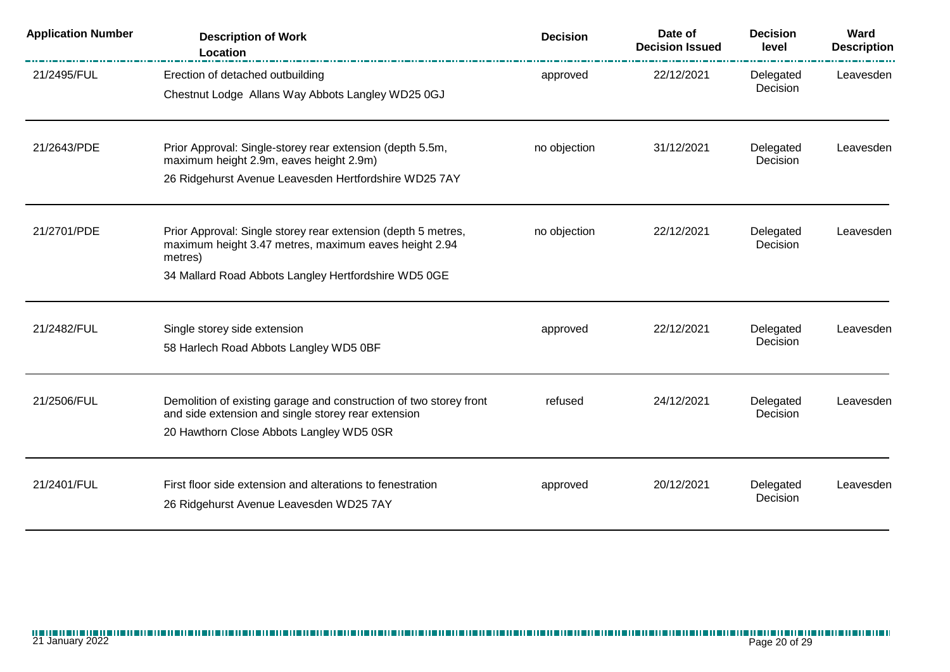| <b>Application Number</b> | <b>Description of Work</b><br><b>Location</b>                                                                                                                                             | <b>Decision</b> | Date of<br><b>Decision Issued</b> | <b>Decision</b><br>level | Ward<br><b>Description</b> |
|---------------------------|-------------------------------------------------------------------------------------------------------------------------------------------------------------------------------------------|-----------------|-----------------------------------|--------------------------|----------------------------|
| 21/2495/FUL               | Erection of detached outbuilding<br>Chestnut Lodge Allans Way Abbots Langley WD25 0GJ                                                                                                     | approved        | 22/12/2021                        | Delegated<br>Decision    | Leavesden                  |
| 21/2643/PDE               | Prior Approval: Single-storey rear extension (depth 5.5m,<br>maximum height 2.9m, eaves height 2.9m)<br>26 Ridgehurst Avenue Leavesden Hertfordshire WD25 7AY                             | no objection    | 31/12/2021                        | Delegated<br>Decision    | Leavesden                  |
| 21/2701/PDE               | Prior Approval: Single storey rear extension (depth 5 metres,<br>maximum height 3.47 metres, maximum eaves height 2.94<br>metres)<br>34 Mallard Road Abbots Langley Hertfordshire WD5 0GE | no objection    | 22/12/2021                        | Delegated<br>Decision    | Leavesden                  |
| 21/2482/FUL               | Single storey side extension<br>58 Harlech Road Abbots Langley WD5 0BF                                                                                                                    | approved        | 22/12/2021                        | Delegated<br>Decision    | Leavesden                  |
| 21/2506/FUL               | Demolition of existing garage and construction of two storey front<br>and side extension and single storey rear extension<br>20 Hawthorn Close Abbots Langley WD5 0SR                     | refused         | 24/12/2021                        | Delegated<br>Decision    | Leavesden                  |
| 21/2401/FUL               | First floor side extension and alterations to fenestration<br>26 Ridgehurst Avenue Leavesden WD25 7AY                                                                                     | approved        | 20/12/2021                        | Delegated<br>Decision    | Leavesden                  |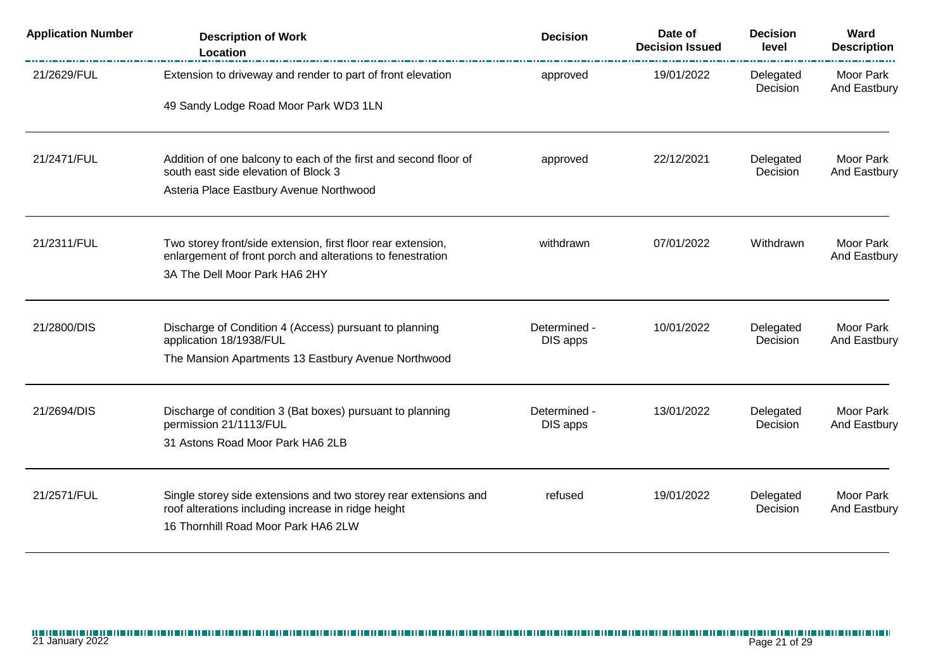| <b>Application Number</b> | <b>Description of Work</b><br>Location                                                                                  | <b>Decision</b>          | Date of<br><b>Decision Issued</b> | <b>Decision</b><br>level | Ward<br><b>Description</b> |
|---------------------------|-------------------------------------------------------------------------------------------------------------------------|--------------------------|-----------------------------------|--------------------------|----------------------------|
| 21/2629/FUL               | Extension to driveway and render to part of front elevation                                                             | approved                 | 19/01/2022                        | Delegated<br>Decision    | Moor Park<br>And Eastbury  |
|                           | 49 Sandy Lodge Road Moor Park WD3 1LN                                                                                   |                          |                                   |                          |                            |
| 21/2471/FUL               | Addition of one balcony to each of the first and second floor of<br>south east side elevation of Block 3                | approved                 | 22/12/2021                        | Delegated<br>Decision    | Moor Park<br>And Eastbury  |
|                           | Asteria Place Eastbury Avenue Northwood                                                                                 |                          |                                   |                          |                            |
| 21/2311/FUL               | Two storey front/side extension, first floor rear extension,                                                            | withdrawn                | 07/01/2022                        | Withdrawn                | Moor Park                  |
|                           | enlargement of front porch and alterations to fenestration<br>3A The Dell Moor Park HA6 2HY                             |                          |                                   |                          | And Eastbury               |
| 21/2800/DIS               | Discharge of Condition 4 (Access) pursuant to planning<br>application 18/1938/FUL                                       | Determined -<br>DIS apps | 10/01/2022                        | Delegated<br>Decision    | Moor Park<br>And Eastbury  |
|                           | The Mansion Apartments 13 Eastbury Avenue Northwood                                                                     |                          |                                   |                          |                            |
| 21/2694/DIS               | Discharge of condition 3 (Bat boxes) pursuant to planning<br>permission 21/1113/FUL                                     | Determined -<br>DIS apps | 13/01/2022                        | Delegated<br>Decision    | Moor Park<br>And Eastbury  |
|                           | 31 Astons Road Moor Park HA6 2LB                                                                                        |                          |                                   |                          |                            |
| 21/2571/FUL               | Single storey side extensions and two storey rear extensions and<br>roof alterations including increase in ridge height | refused                  | 19/01/2022                        | Delegated<br>Decision    | Moor Park<br>And Eastbury  |
|                           | 16 Thornhill Road Moor Park HA6 2LW                                                                                     |                          |                                   |                          |                            |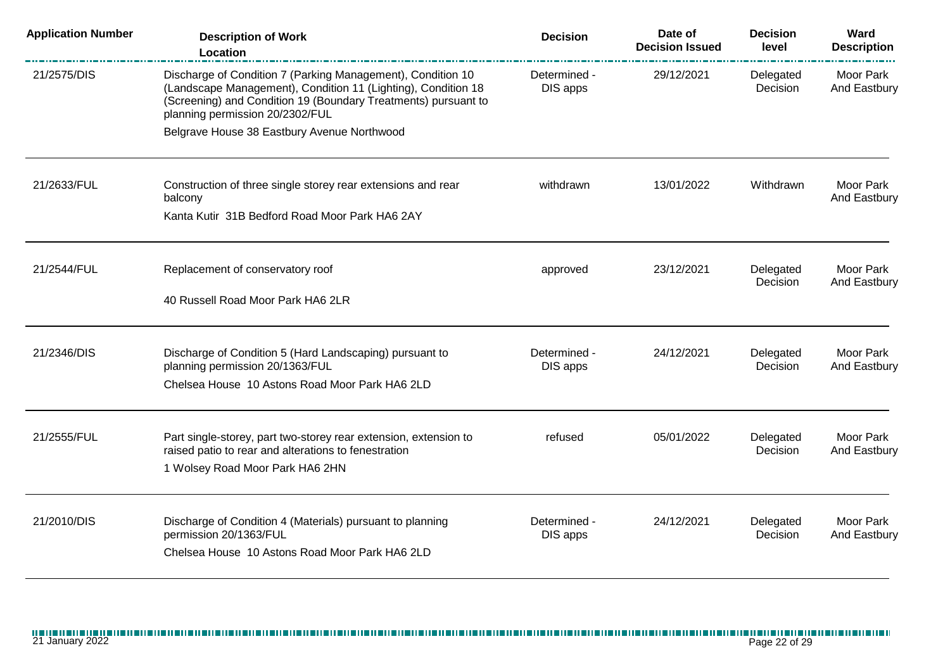| <b>Application Number</b> | <b>Description of Work</b><br>Location                                                                                                                                                                                            | <b>Decision</b>          | Date of<br><b>Decision Issued</b> | <b>Decision</b><br>level | Ward<br><b>Description</b> |
|---------------------------|-----------------------------------------------------------------------------------------------------------------------------------------------------------------------------------------------------------------------------------|--------------------------|-----------------------------------|--------------------------|----------------------------|
| 21/2575/DIS               | Discharge of Condition 7 (Parking Management), Condition 10<br>(Landscape Management), Condition 11 (Lighting), Condition 18<br>(Screening) and Condition 19 (Boundary Treatments) pursuant to<br>planning permission 20/2302/FUL | Determined -<br>DIS apps | 29/12/2021                        | Delegated<br>Decision    | Moor Park<br>And Eastbury  |
|                           | Belgrave House 38 Eastbury Avenue Northwood                                                                                                                                                                                       |                          |                                   |                          |                            |
| 21/2633/FUL               | Construction of three single storey rear extensions and rear<br>balcony                                                                                                                                                           | withdrawn                | 13/01/2022                        | Withdrawn                | Moor Park<br>And Eastbury  |
|                           | Kanta Kutir 31B Bedford Road Moor Park HA6 2AY                                                                                                                                                                                    |                          |                                   |                          |                            |
| 21/2544/FUL               | Replacement of conservatory roof                                                                                                                                                                                                  | approved                 | 23/12/2021                        | Delegated<br>Decision    | Moor Park<br>And Eastbury  |
|                           | 40 Russell Road Moor Park HA6 2LR                                                                                                                                                                                                 |                          |                                   |                          |                            |
| 21/2346/DIS               | Discharge of Condition 5 (Hard Landscaping) pursuant to<br>planning permission 20/1363/FUL                                                                                                                                        | Determined -<br>DIS apps | 24/12/2021                        | Delegated<br>Decision    | Moor Park<br>And Eastbury  |
|                           | Chelsea House 10 Astons Road Moor Park HA6 2LD                                                                                                                                                                                    |                          |                                   |                          |                            |
| 21/2555/FUL               | Part single-storey, part two-storey rear extension, extension to<br>raised patio to rear and alterations to fenestration<br>1 Wolsey Road Moor Park HA6 2HN                                                                       | refused                  | 05/01/2022                        | Delegated<br>Decision    | Moor Park<br>And Eastbury  |
| 21/2010/DIS               | Discharge of Condition 4 (Materials) pursuant to planning<br>permission 20/1363/FUL<br>Chelsea House 10 Astons Road Moor Park HA6 2LD                                                                                             | Determined -<br>DIS apps | 24/12/2021                        | Delegated<br>Decision    | Moor Park<br>And Eastbury  |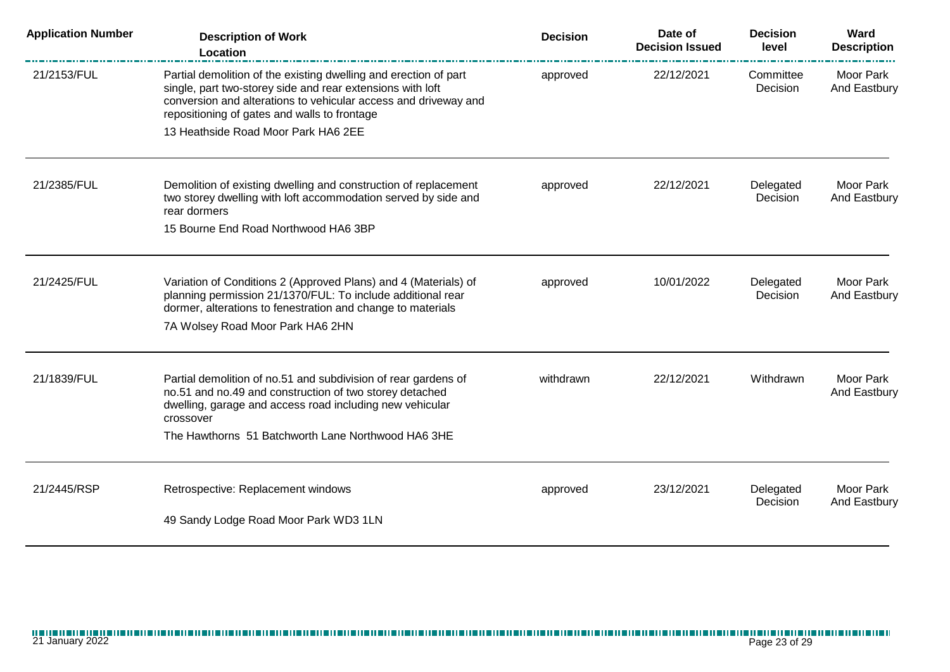| <b>Application Number</b> | <b>Description of Work</b><br>Location                                                                                                                                                                                                            | <b>Decision</b> | Date of<br><b>Decision Issued</b> | <b>Decision</b><br>level | Ward<br><b>Description</b> |
|---------------------------|---------------------------------------------------------------------------------------------------------------------------------------------------------------------------------------------------------------------------------------------------|-----------------|-----------------------------------|--------------------------|----------------------------|
| 21/2153/FUL               | Partial demolition of the existing dwelling and erection of part<br>single, part two-storey side and rear extensions with loft<br>conversion and alterations to vehicular access and driveway and<br>repositioning of gates and walls to frontage | approved        | 22/12/2021                        | Committee<br>Decision    | Moor Park<br>And Eastbury  |
|                           | 13 Heathside Road Moor Park HA6 2EE                                                                                                                                                                                                               |                 |                                   |                          |                            |
| 21/2385/FUL               | Demolition of existing dwelling and construction of replacement<br>two storey dwelling with loft accommodation served by side and<br>rear dormers                                                                                                 | approved        | 22/12/2021                        | Delegated<br>Decision    | Moor Park<br>And Eastbury  |
|                           | 15 Bourne End Road Northwood HA6 3BP                                                                                                                                                                                                              |                 |                                   |                          |                            |
| 21/2425/FUL               | Variation of Conditions 2 (Approved Plans) and 4 (Materials) of<br>planning permission 21/1370/FUL: To include additional rear<br>dormer, alterations to fenestration and change to materials                                                     | approved        | 10/01/2022                        | Delegated<br>Decision    | Moor Park<br>And Eastbury  |
|                           | 7A Wolsey Road Moor Park HA6 2HN                                                                                                                                                                                                                  |                 |                                   |                          |                            |
| 21/1839/FUL               | Partial demolition of no.51 and subdivision of rear gardens of<br>no.51 and no.49 and construction of two storey detached<br>dwelling, garage and access road including new vehicular<br>crossover                                                | withdrawn       | 22/12/2021                        | Withdrawn                | Moor Park<br>And Eastbury  |
|                           | The Hawthorns 51 Batchworth Lane Northwood HA6 3HE                                                                                                                                                                                                |                 |                                   |                          |                            |
| 21/2445/RSP               | Retrospective: Replacement windows                                                                                                                                                                                                                | approved        | 23/12/2021                        | Delegated<br>Decision    | Moor Park<br>And Eastbury  |
|                           | 49 Sandy Lodge Road Moor Park WD3 1LN                                                                                                                                                                                                             |                 |                                   |                          |                            |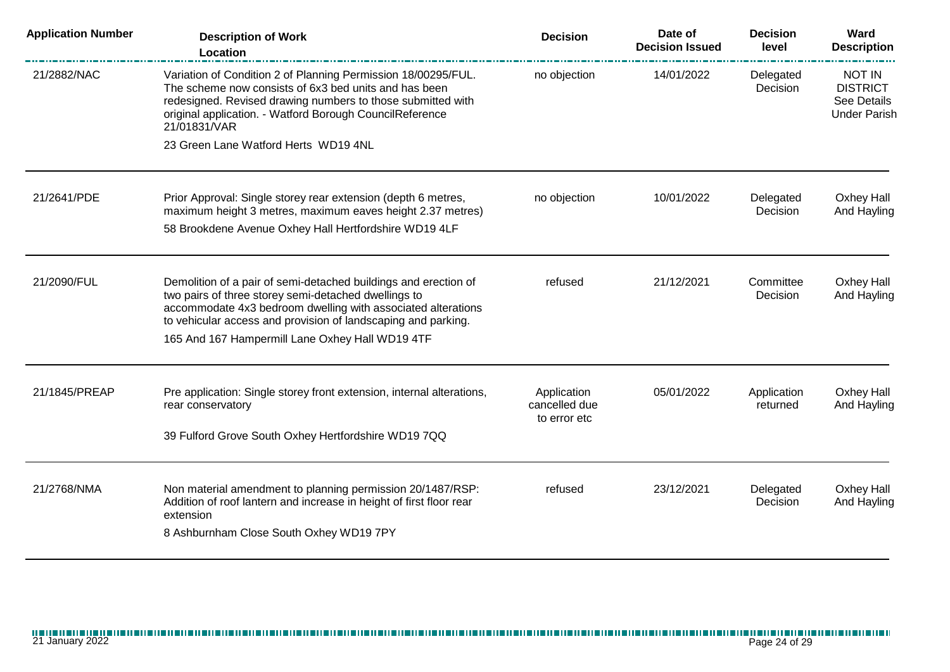| <b>Application Number</b> | <b>Description of Work</b><br>Location                                                                                                                                                                                                                            | <b>Decision</b>                              | Date of<br><b>Decision Issued</b> | <b>Decision</b><br>level | Ward<br><b>Description</b>                                             |
|---------------------------|-------------------------------------------------------------------------------------------------------------------------------------------------------------------------------------------------------------------------------------------------------------------|----------------------------------------------|-----------------------------------|--------------------------|------------------------------------------------------------------------|
| 21/2882/NAC               | Variation of Condition 2 of Planning Permission 18/00295/FUL.<br>The scheme now consists of 6x3 bed units and has been<br>redesigned. Revised drawing numbers to those submitted with<br>original application. - Watford Borough CouncilReference<br>21/01831/VAR | no objection                                 | 14/01/2022                        | Delegated<br>Decision    | <b>NOT IN</b><br><b>DISTRICT</b><br>See Details<br><b>Under Parish</b> |
|                           | 23 Green Lane Watford Herts WD19 4NL                                                                                                                                                                                                                              |                                              |                                   |                          |                                                                        |
| 21/2641/PDE               | Prior Approval: Single storey rear extension (depth 6 metres,<br>maximum height 3 metres, maximum eaves height 2.37 metres)                                                                                                                                       | no objection                                 | 10/01/2022                        | Delegated<br>Decision    | Oxhey Hall<br>And Hayling                                              |
|                           | 58 Brookdene Avenue Oxhey Hall Hertfordshire WD19 4LF                                                                                                                                                                                                             |                                              |                                   |                          |                                                                        |
| 21/2090/FUL               | Demolition of a pair of semi-detached buildings and erection of<br>two pairs of three storey semi-detached dwellings to<br>accommodate 4x3 bedroom dwelling with associated alterations<br>to vehicular access and provision of landscaping and parking.          | refused                                      | 21/12/2021                        | Committee<br>Decision    | <b>Oxhey Hall</b><br>And Hayling                                       |
|                           | 165 And 167 Hampermill Lane Oxhey Hall WD19 4TF                                                                                                                                                                                                                   |                                              |                                   |                          |                                                                        |
| 21/1845/PREAP             | Pre application: Single storey front extension, internal alterations,<br>rear conservatory                                                                                                                                                                        | Application<br>cancelled due<br>to error etc | 05/01/2022                        | Application<br>returned  | Oxhey Hall<br>And Hayling                                              |
|                           | 39 Fulford Grove South Oxhey Hertfordshire WD19 7QQ                                                                                                                                                                                                               |                                              |                                   |                          |                                                                        |
| 21/2768/NMA               | Non material amendment to planning permission 20/1487/RSP:<br>Addition of roof lantern and increase in height of first floor rear<br>extension<br>8 Ashburnham Close South Oxhey WD19 7PY                                                                         | refused                                      | 23/12/2021                        | Delegated<br>Decision    | Oxhey Hall<br>And Hayling                                              |
|                           |                                                                                                                                                                                                                                                                   |                                              |                                   |                          |                                                                        |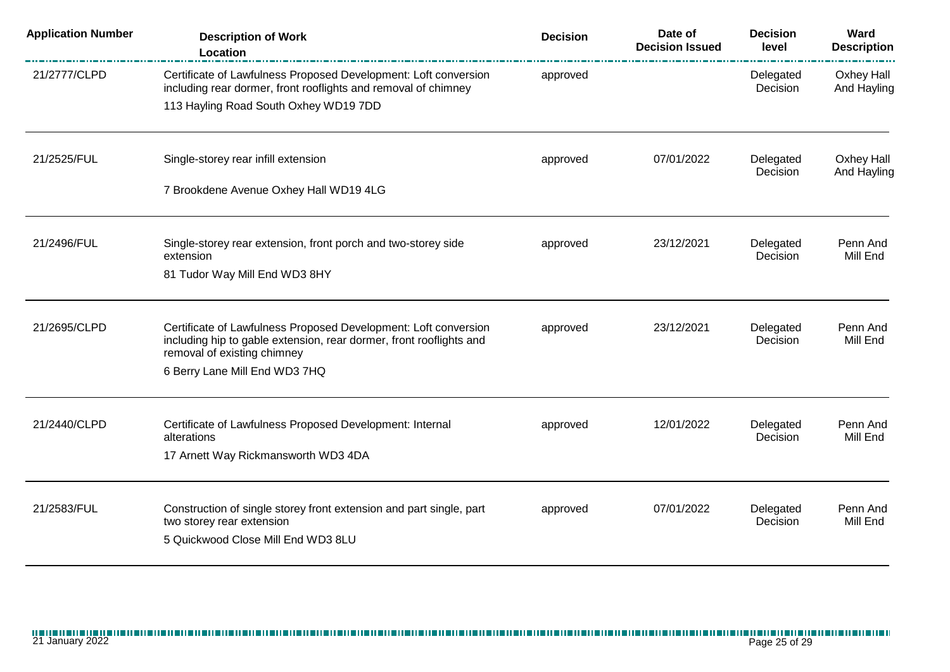| <b>Application Number</b> | <b>Description of Work</b><br>Location                                                                                                                                | <b>Decision</b> | Date of<br><b>Decision Issued</b> | <b>Decision</b><br>level | Ward<br><b>Description</b><br>--------- |
|---------------------------|-----------------------------------------------------------------------------------------------------------------------------------------------------------------------|-----------------|-----------------------------------|--------------------------|-----------------------------------------|
| 21/2777/CLPD              | Certificate of Lawfulness Proposed Development: Loft conversion<br>including rear dormer, front rooflights and removal of chimney                                     | approved        |                                   | Delegated<br>Decision    | Oxhey Hall<br>And Hayling               |
|                           | 113 Hayling Road South Oxhey WD19 7DD                                                                                                                                 |                 |                                   |                          |                                         |
| 21/2525/FUL               | Single-storey rear infill extension                                                                                                                                   | approved        | 07/01/2022                        | Delegated<br>Decision    | Oxhey Hall<br>And Hayling               |
|                           | 7 Brookdene Avenue Oxhey Hall WD19 4LG                                                                                                                                |                 |                                   |                          |                                         |
| 21/2496/FUL               | Single-storey rear extension, front porch and two-storey side<br>extension                                                                                            | approved        | 23/12/2021                        | Delegated<br>Decision    | Penn And<br>Mill End                    |
|                           | 81 Tudor Way Mill End WD3 8HY                                                                                                                                         |                 |                                   |                          |                                         |
| 21/2695/CLPD              | Certificate of Lawfulness Proposed Development: Loft conversion<br>including hip to gable extension, rear dormer, front rooflights and<br>removal of existing chimney | approved        | 23/12/2021                        | Delegated<br>Decision    | Penn And<br>Mill End                    |
|                           | 6 Berry Lane Mill End WD3 7HQ                                                                                                                                         |                 |                                   |                          |                                         |
| 21/2440/CLPD              | Certificate of Lawfulness Proposed Development: Internal<br>alterations                                                                                               | approved        | 12/01/2022                        | Delegated<br>Decision    | Penn And<br>Mill End                    |
|                           | 17 Arnett Way Rickmansworth WD3 4DA                                                                                                                                   |                 |                                   |                          |                                         |
| 21/2583/FUL               | Construction of single storey front extension and part single, part<br>two storey rear extension                                                                      | approved        | 07/01/2022                        | Delegated<br>Decision    | Penn And<br>Mill End                    |
|                           | 5 Quickwood Close Mill End WD3 8LU                                                                                                                                    |                 |                                   |                          |                                         |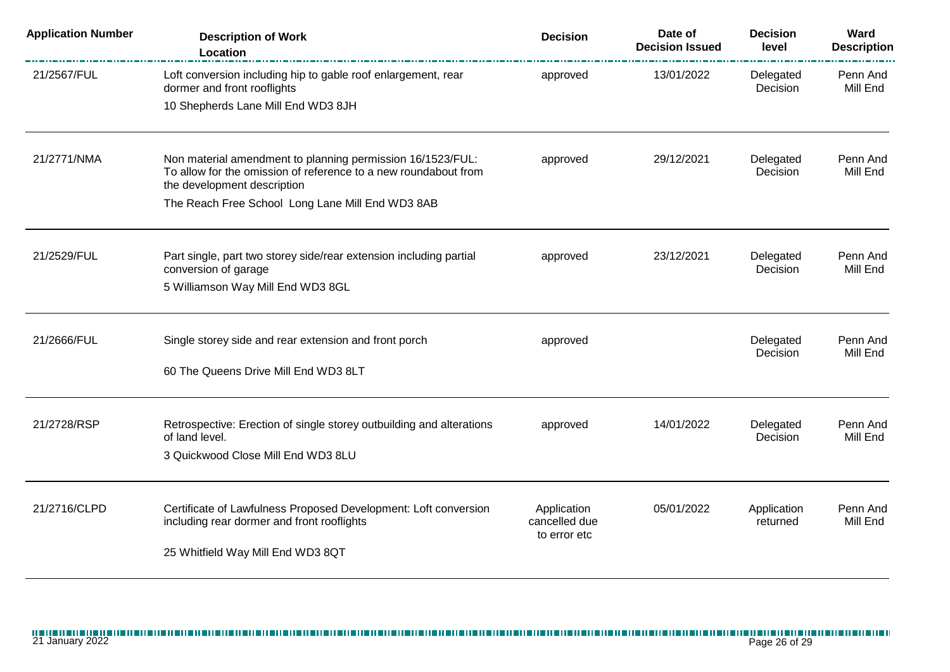| <b>Application Number</b> | <b>Description of Work</b><br>Location                                                                                                                       | <b>Decision</b>                              | Date of<br><b>Decision Issued</b> | <b>Decision</b><br>level | Ward<br><b>Description</b> |
|---------------------------|--------------------------------------------------------------------------------------------------------------------------------------------------------------|----------------------------------------------|-----------------------------------|--------------------------|----------------------------|
| 21/2567/FUL               | Loft conversion including hip to gable roof enlargement, rear<br>dormer and front rooflights                                                                 | approved                                     | 13/01/2022                        | Delegated<br>Decision    | Penn And<br>Mill End       |
|                           | 10 Shepherds Lane Mill End WD3 8JH                                                                                                                           |                                              |                                   |                          |                            |
| 21/2771/NMA               | Non material amendment to planning permission 16/1523/FUL:<br>To allow for the omission of reference to a new roundabout from<br>the development description | approved                                     | 29/12/2021                        | Delegated<br>Decision    | Penn And<br>Mill End       |
|                           | The Reach Free School Long Lane Mill End WD3 8AB                                                                                                             |                                              |                                   |                          |                            |
| 21/2529/FUL               | Part single, part two storey side/rear extension including partial<br>conversion of garage<br>5 Williamson Way Mill End WD3 8GL                              | approved                                     | 23/12/2021                        | Delegated<br>Decision    | Penn And<br>Mill End       |
| 21/2666/FUL               | Single storey side and rear extension and front porch                                                                                                        | approved                                     |                                   | Delegated<br>Decision    | Penn And<br>Mill End       |
|                           | 60 The Queens Drive Mill End WD3 8LT                                                                                                                         |                                              |                                   |                          |                            |
| 21/2728/RSP               | Retrospective: Erection of single storey outbuilding and alterations<br>of land level.                                                                       | approved                                     | 14/01/2022                        | Delegated<br>Decision    | Penn And<br>Mill End       |
|                           | 3 Quickwood Close Mill End WD3 8LU                                                                                                                           |                                              |                                   |                          |                            |
| 21/2716/CLPD              | Certificate of Lawfulness Proposed Development: Loft conversion<br>including rear dormer and front rooflights                                                | Application<br>cancelled due<br>to error etc | 05/01/2022                        | Application<br>returned  | Penn And<br>Mill End       |
|                           | 25 Whitfield Way Mill End WD3 8QT                                                                                                                            |                                              |                                   |                          |                            |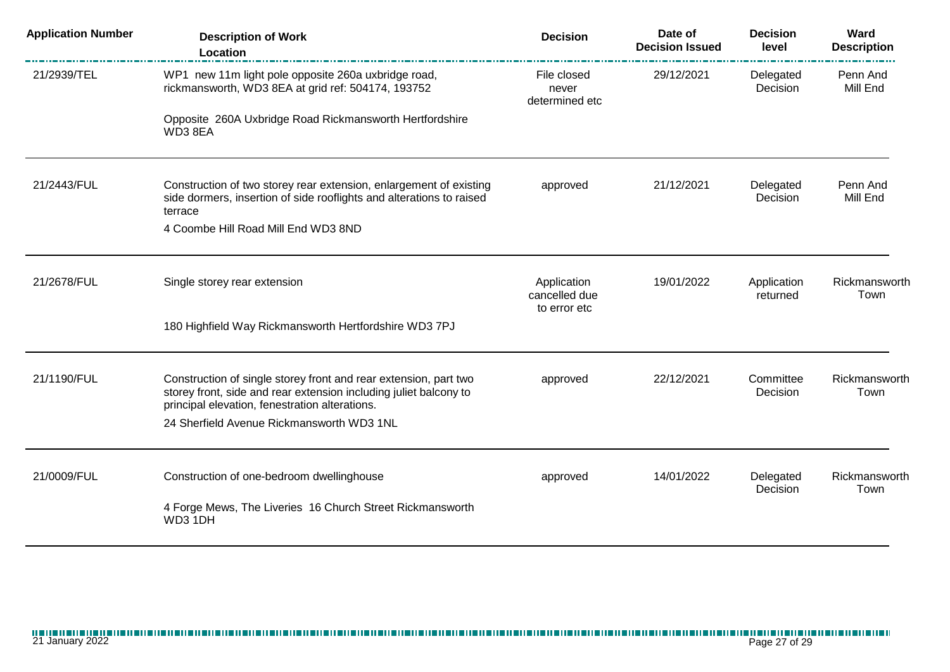| <b>Application Number</b> | <b>Description of Work</b><br><b>Location</b>                                                                                                                                           | <b>Decision</b>                              | Date of<br><b>Decision Issued</b> | <b>Decision</b><br>level | Ward<br><b>Description</b> |
|---------------------------|-----------------------------------------------------------------------------------------------------------------------------------------------------------------------------------------|----------------------------------------------|-----------------------------------|--------------------------|----------------------------|
| 21/2939/TEL               | WP1 new 11m light pole opposite 260a uxbridge road,<br>rickmansworth, WD3 8EA at grid ref: 504174, 193752                                                                               | File closed<br>never<br>determined etc       | 29/12/2021                        | Delegated<br>Decision    | Penn And<br>Mill End       |
|                           | Opposite 260A Uxbridge Road Rickmansworth Hertfordshire<br>WD38EA                                                                                                                       |                                              |                                   |                          |                            |
| 21/2443/FUL               | Construction of two storey rear extension, enlargement of existing<br>side dormers, insertion of side rooflights and alterations to raised<br>terrace                                   | approved                                     | 21/12/2021                        | Delegated<br>Decision    | Penn And<br>Mill End       |
|                           | 4 Coombe Hill Road Mill End WD3 8ND                                                                                                                                                     |                                              |                                   |                          |                            |
| 21/2678/FUL               | Single storey rear extension                                                                                                                                                            | Application<br>cancelled due<br>to error etc | 19/01/2022                        | Application<br>returned  | Rickmansworth<br>Town      |
|                           | 180 Highfield Way Rickmansworth Hertfordshire WD3 7PJ                                                                                                                                   |                                              |                                   |                          |                            |
| 21/1190/FUL               | Construction of single storey front and rear extension, part two<br>storey front, side and rear extension including juliet balcony to<br>principal elevation, fenestration alterations. | approved                                     | 22/12/2021                        | Committee<br>Decision    | Rickmansworth<br>Town      |
|                           | 24 Sherfield Avenue Rickmansworth WD3 1NL                                                                                                                                               |                                              |                                   |                          |                            |
| 21/0009/FUL               | Construction of one-bedroom dwellinghouse                                                                                                                                               | approved                                     | 14/01/2022                        | Delegated<br>Decision    | Rickmansworth<br>Town      |
|                           | 4 Forge Mews, The Liveries 16 Church Street Rickmansworth<br>WD3 1DH                                                                                                                    |                                              |                                   |                          |                            |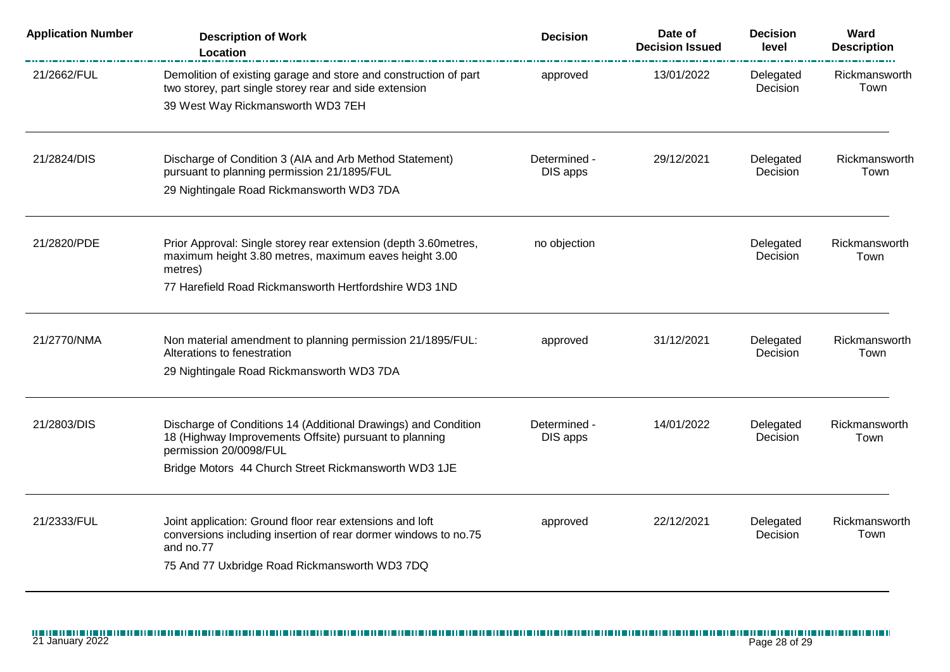| <b>Application Number</b> | <b>Description of Work</b><br>Location                                                                                                                                                                     | <b>Decision</b>          | Date of<br><b>Decision Issued</b> | <b>Decision</b><br>level     | Ward<br><b>Description</b> |
|---------------------------|------------------------------------------------------------------------------------------------------------------------------------------------------------------------------------------------------------|--------------------------|-----------------------------------|------------------------------|----------------------------|
| 21/2662/FUL               | Demolition of existing garage and store and construction of part<br>two storey, part single storey rear and side extension<br>39 West Way Rickmansworth WD3 7EH                                            | approved                 | 13/01/2022                        | Delegated<br>Decision        | Rickmansworth<br>Town      |
| 21/2824/DIS               | Discharge of Condition 3 (AIA and Arb Method Statement)<br>pursuant to planning permission 21/1895/FUL<br>29 Nightingale Road Rickmansworth WD3 7DA                                                        | Determined -<br>DIS apps | 29/12/2021                        | Delegated<br>Decision        | Rickmansworth<br>Town      |
| 21/2820/PDE               | Prior Approval: Single storey rear extension (depth 3.60metres,<br>maximum height 3.80 metres, maximum eaves height 3.00<br>metres)<br>77 Harefield Road Rickmansworth Hertfordshire WD3 1ND               | no objection             |                                   | Delegated<br>Decision        | Rickmansworth<br>Town      |
| 21/2770/NMA               | Non material amendment to planning permission 21/1895/FUL:<br>Alterations to fenestration<br>29 Nightingale Road Rickmansworth WD3 7DA                                                                     | approved                 | 31/12/2021                        | Delegated<br>Decision        | Rickmansworth<br>Town      |
| 21/2803/DIS               | Discharge of Conditions 14 (Additional Drawings) and Condition<br>18 (Highway Improvements Offsite) pursuant to planning<br>permission 20/0098/FUL<br>Bridge Motors 44 Church Street Rickmansworth WD3 1JE | Determined -<br>DIS apps | 14/01/2022                        | Delegated<br>Decision        | Rickmansworth<br>Town      |
| 21/2333/FUL               | Joint application: Ground floor rear extensions and loft<br>conversions including insertion of rear dormer windows to no.75<br>and no.77<br>75 And 77 Uxbridge Road Rickmansworth WD3 7DQ                  | approved                 | 22/12/2021                        | Delegated<br><b>Decision</b> | Rickmansworth<br>Town      |